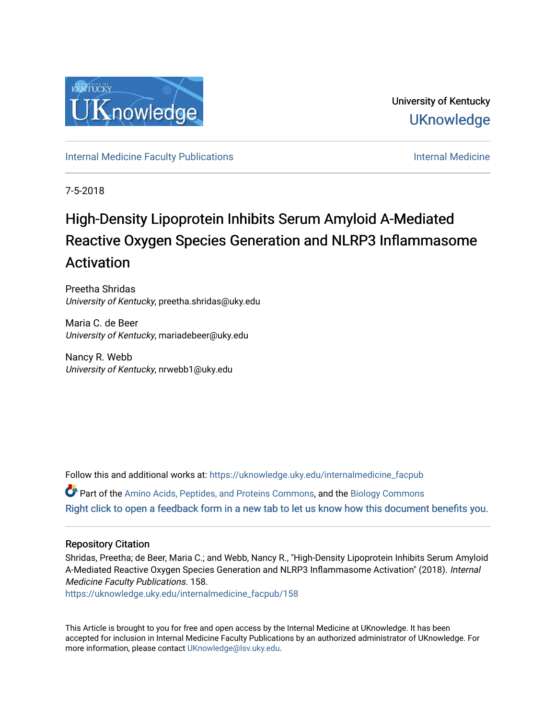

University of Kentucky **UKnowledge** 

[Internal Medicine Faculty Publications](https://uknowledge.uky.edu/internalmedicine_facpub) **Internal Medicine** Internal Medicine

7-5-2018

# High-Density Lipoprotein Inhibits Serum Amyloid A-Mediated Reactive Oxygen Species Generation and NLRP3 Inflammasome Activation

Preetha Shridas University of Kentucky, preetha.shridas@uky.edu

Maria C. de Beer University of Kentucky, mariadebeer@uky.edu

Nancy R. Webb University of Kentucky, nrwebb1@uky.edu

Follow this and additional works at: [https://uknowledge.uky.edu/internalmedicine\\_facpub](https://uknowledge.uky.edu/internalmedicine_facpub?utm_source=uknowledge.uky.edu%2Finternalmedicine_facpub%2F158&utm_medium=PDF&utm_campaign=PDFCoverPages) 

Part of the [Amino Acids, Peptides, and Proteins Commons](http://network.bepress.com/hgg/discipline/954?utm_source=uknowledge.uky.edu%2Finternalmedicine_facpub%2F158&utm_medium=PDF&utm_campaign=PDFCoverPages), and the [Biology Commons](http://network.bepress.com/hgg/discipline/41?utm_source=uknowledge.uky.edu%2Finternalmedicine_facpub%2F158&utm_medium=PDF&utm_campaign=PDFCoverPages)  [Right click to open a feedback form in a new tab to let us know how this document benefits you.](https://uky.az1.qualtrics.com/jfe/form/SV_9mq8fx2GnONRfz7)

# Repository Citation

Shridas, Preetha; de Beer, Maria C.; and Webb, Nancy R., "High-Density Lipoprotein Inhibits Serum Amyloid A-Mediated Reactive Oxygen Species Generation and NLRP3 Inflammasome Activation" (2018). Internal Medicine Faculty Publications. 158.

[https://uknowledge.uky.edu/internalmedicine\\_facpub/158](https://uknowledge.uky.edu/internalmedicine_facpub/158?utm_source=uknowledge.uky.edu%2Finternalmedicine_facpub%2F158&utm_medium=PDF&utm_campaign=PDFCoverPages) 

This Article is brought to you for free and open access by the Internal Medicine at UKnowledge. It has been accepted for inclusion in Internal Medicine Faculty Publications by an authorized administrator of UKnowledge. For more information, please contact [UKnowledge@lsv.uky.edu](mailto:UKnowledge@lsv.uky.edu).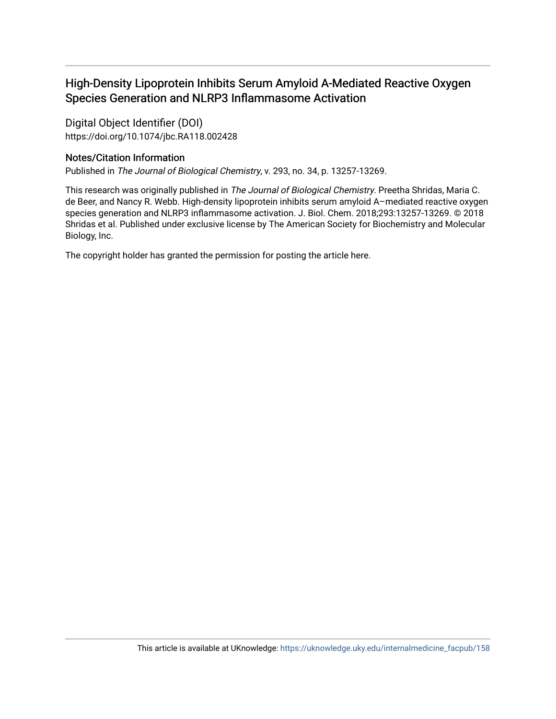# High-Density Lipoprotein Inhibits Serum Amyloid A-Mediated Reactive Oxygen Species Generation and NLRP3 Inflammasome Activation

Digital Object Identifier (DOI) https://doi.org/10.1074/jbc.RA118.002428

# Notes/Citation Information

Published in The Journal of Biological Chemistry, v. 293, no. 34, p. 13257-13269.

This research was originally published in The Journal of Biological Chemistry. Preetha Shridas, Maria C. de Beer, and Nancy R. Webb. High-density lipoprotein inhibits serum amyloid A–mediated reactive oxygen species generation and NLRP3 inflammasome activation. J. Biol. Chem. 2018;293:13257-13269. © 2018 Shridas et al. Published under exclusive license by The American Society for Biochemistry and Molecular Biology, Inc.

The copyright holder has granted the permission for posting the article here.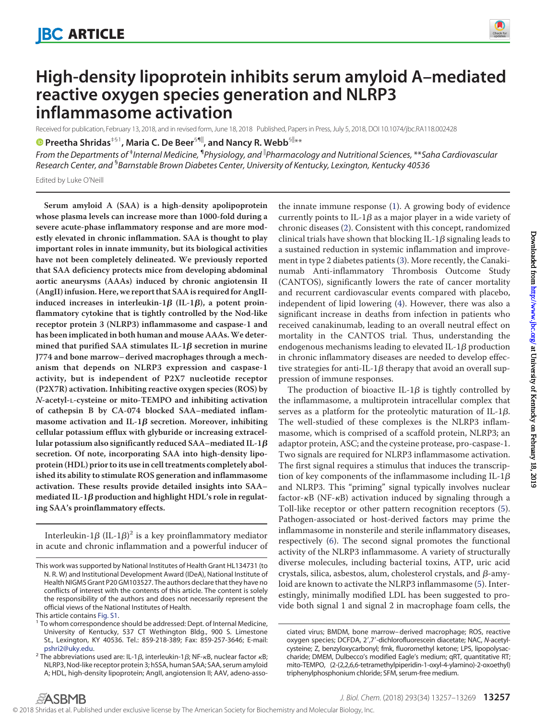

# **High-density lipoprotein inhibits serum amyloid A–mediated reactive oxygen species generation and NLRP3 inflammasome activation**

Received for publication, February 13, 2018, and in revised form, June 18, 2018 Published, Papers in Press, July 5, 2018, DOI 10.1074/jbc.RA118.002428

**©** [Preetha Shridas](https://orcid.org/0000-0002-2532-4007)<sup>‡§1</sup>, Maria C. De Beer<sup>§¶|</sup>, and Nancy R. Webb<sup>§||</sup>\*\*

*From the Departments of* ‡ *Internal Medicine,* ¶ *Physiology, and* - *Pharmacology and Nutritional Sciences,* \*\**Saha Cardiovascular Research Center, and* § *Barnstable Brown Diabetes Center, University of Kentucky, Lexington, Kentucky 40536*

Edited by Luke O'Neill

**Serum amyloid A (SAA) is a high-density apolipoprotein whose plasma levels can increase more than 1000-fold during a severe acute-phase inflammatory response and are more modestly elevated in chronic inflammation. SAA is thought to play important roles in innate immunity, but its biological activities have not been completely delineated. We previously reported that SAA deficiency protects mice from developing abdominal aortic aneurysms (AAAs) induced by chronic angiotensin II (AngII) infusion. Here, we report that SAA is required for AngII**induced increases in interleukin- $1\beta$  (IL- $1\beta$ ), a potent proin**flammatory cytokine that is tightly controlled by the Nod-like receptor protein 3 (NLRP3) inflammasome and caspase-1 and has been implicated in both human and mouse AAAs.We deter** $m$ ined that purified SAA stimulates IL-1 $\beta$  secretion in murine **J774 and bone marrow– derived macrophages through a mechanism that depends on NLRP3 expression and caspase-1 activity, but is independent of P2X7 nucleotide receptor (P2X7R) activation. Inhibiting reactive oxygen species (ROS) by** *N***-acetyl-L-cysteine or mito-TEMPO and inhibiting activation of cathepsin B by CA-074 blocked SAA–mediated inflam** $m$ asome activation and IL-1 $\boldsymbol{\beta}$  secretion. Moreover, inhibiting **cellular potassium efflux with glyburide or increasing extracel**lular potassium also significantly reduced SAA–mediated IL-1 $\pmb{\beta}$ **secretion. Of note, incorporating SAA into high-density lipoprotein (HDL) prior to its use in cell treatments completely abolished its ability to stimulate ROS generation and inflammasome activation. These results provide detailed insights into SAA–** mediated IL-1β production and highlight HDL's role in regulat**ing SAA's proinflammatory effects.**

Interleukin-1 $\beta$  (IL-1 $\beta$ ) $^2$  is a key proinflammatory mediator in acute and chronic inflammation and a powerful inducer of the innate immune response [\(1\)](#page-12-0). A growing body of evidence currently points to IL-1 $\beta$  as a major player in a wide variety of chronic diseases [\(2\)](#page-12-1). Consistent with this concept, randomized clinical trials have shown that blocking IL-1 $\beta$  signaling leads to a sustained reduction in systemic inflammation and improvement in type 2 diabetes patients [\(3\)](#page-12-2). More recently, the Canakinumab Anti-inflammatory Thrombosis Outcome Study (CANTOS), significantly lowers the rate of cancer mortality and recurrent cardiovascular events compared with placebo, independent of lipid lowering [\(4\)](#page-12-3). However, there was also a significant increase in deaths from infection in patients who received canakinumab, leading to an overall neutral effect on mortality in the CANTOS trial. Thus, understanding the endogenous mechanisms leading to elevated IL-1 $\beta$  production in chronic inflammatory diseases are needed to develop effective strategies for anti-IL-1 $\beta$  therapy that avoid an overall suppression of immune responses.

The production of bioactive IL-1 $\beta$  is tightly controlled by the inflammasome, a multiprotein intracellular complex that serves as a platform for the proteolytic maturation of IL-1 $\beta$ . The well-studied of these complexes is the NLRP3 inflammasome, which is comprised of a scaffold protein, NLRP3; an adaptor protein, ASC; and the cysteine protease, pro-caspase-1. Two signals are required for NLRP3 inflammasome activation. The first signal requires a stimulus that induces the transcription of key components of the inflammasome including IL-1 $\beta$ and NLRP3. This "priming" signal typically involves nuclear factor- $\kappa$ B (NF- $\kappa$ B) activation induced by signaling through a Toll-like receptor or other pattern recognition receptors [\(5\)](#page-12-4). Pathogen-associated or host-derived factors may prime the inflammasome in nonsterile and sterile inflammatory diseases, respectively [\(6\)](#page-12-5). The second signal promotes the functional activity of the NLRP3 inflammasome. A variety of structurally diverse molecules, including bacterial toxins, ATP, uric acid crystals, silica, asbestos, alum, cholesterol crystals, and  $\beta$ -amyloid are known to activate the NLRP3 inflammasome [\(5\)](#page-12-4). Interestingly, minimally modified LDL has been suggested to provide both signal 1 and signal 2 in macrophage foam cells, the

This work was supported by National Institutes of Health Grant HL134731 (to N. R. W) and Institutional Development Award (IDeA), National Institute of Health NIGMS Grant P20 GM103527. The authors declare that they have no conflicts of interest with the contents of this article. The content is solely the responsibility of the authors and does not necessarily represent the official views of the National Institutes of Health.

This article contains [Fig. S1.](http://www.jbc.org/cgi/content/full/RA118.002428/DC1)<br><sup>1</sup> To whom correspondence should be addressed: Dept. of Internal Medicine, University of Kentucky, 537 CT Wethington Bldg., 900 S. Limestone St., Lexington, KY 40536. Tel.: 859-218-389; Fax: 859-257-3646; E-mail:

[pshri2@uky.edu.](mailto:pshri2@uky.edu)<br><sup>2</sup> The abbreviations used are: IL-1*β,* interleukin-1*β;* NF-κB, nuclear factor κB; NLRP3, Nod-like receptor protein 3; hSSA, human SAA; SAA, serum amyloid A; HDL, high-density lipoprotein; AngII, angiotension II; AAV, adeno-asso-

ciated virus; BMDM, bone marrow– derived macrophage; ROS, reactive oxygen species; DCFDA, 2',7'-dichlorofluorescein diacetate; NAC, N-acetylcysteine; Z, benzyloxycarbonyl; fmk, fluoromethyl ketone; LPS, lipopolysaccharide; DMEM, Dulbecco's modified Eagle's medium; qRT, quantitative RT; mito-TEMPO, (2-(2,2,6,6-tetramethylpiperidin-1-oxyl-4-ylamino)-2-oxoethyl) triphenylphosphonium chloride; SFM, serum-free medium.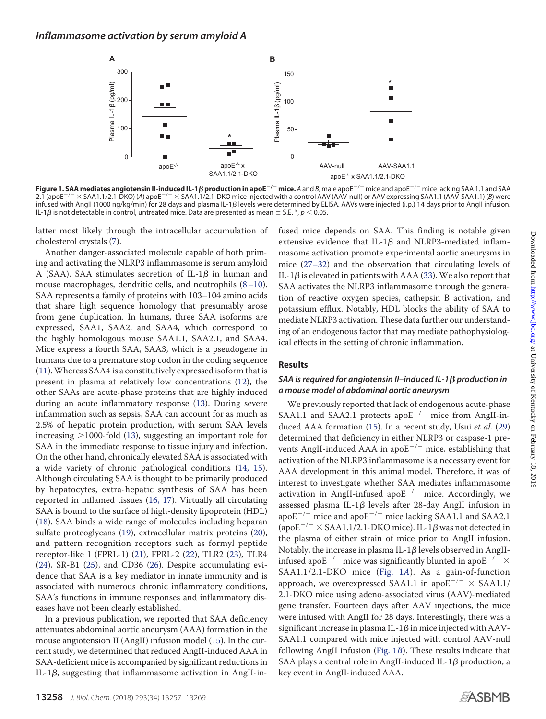<span id="page-3-0"></span>

**Figure 1. SAA mediates angiotensin II-induced IL-1**-**production in apoE/mice.** *A* and *B*, male apoE/ mice and apoE/ mice lacking SAA 1.1 and SAA 2.1 (apoE<sup>-/-</sup> × SAA1.1/2.1-DKO) (A) apoE<sup>-/-</sup> × SAA1.1/2.1-DKO mice injected with a control AAV (AAV-null) or AAV expressing SAA1.1 (AAV-SAA1.1) (*B*) were infused with AngII (1000 ng/kg/min) for 28 days and plasma IL-1β levels were determined by ELISA. AAVs were injected (i.p.) 14 days prior to AngII infusion. IL-1 $\beta$  is not detectable in control, untreated mice. Data are presented as mean  $\pm$  S.E.  $^*,$   $\rho$   $<$  0.05.

latter most likely through the intracellular accumulation of cholesterol crystals [\(7\)](#page-12-6).

Another danger-associated molecule capable of both priming and activating the NLRP3 inflammasome is serum amyloid A (SAA). SAA stimulates secretion of IL-1 $\beta$  in human and mouse macrophages, dendritic cells, and neutrophils [\(8–](#page-12-7)[10\)](#page-12-8). SAA represents a family of proteins with 103–104 amino acids that share high sequence homology that presumably arose from gene duplication. In humans, three SAA isoforms are expressed, SAA1, SAA2, and SAA4, which correspond to the highly homologous mouse SAA1.1, SAA2.1, and SAA4. Mice express a fourth SAA, SAA3, which is a pseudogene in humans due to a premature stop codon in the coding sequence [\(11\)](#page-12-9).Whereas SAA4 is a constitutively expressed isoform that is present in plasma at relatively low concentrations [\(12\)](#page-12-10), the other SAAs are acute-phase proteins that are highly induced during an acute inflammatory response [\(13\)](#page-12-11). During severe inflammation such as sepsis, SAA can account for as much as 2.5% of hepatic protein production, with serum SAA levels increasing  $>$ 1000-fold [\(13\)](#page-12-11), suggesting an important role for SAA in the immediate response to tissue injury and infection. On the other hand, chronically elevated SAA is associated with a wide variety of chronic pathological conditions [\(14,](#page-12-12) [15\)](#page-12-13). Although circulating SAA is thought to be primarily produced by hepatocytes, extra-hepatic synthesis of SAA has been reported in inflamed tissues [\(16,](#page-12-14) [17\)](#page-13-0). Virtually all circulating SAA is bound to the surface of high-density lipoprotein (HDL) [\(18\)](#page-13-1). SAA binds a wide range of molecules including heparan sulfate proteoglycans [\(19\)](#page-13-2), extracellular matrix proteins [\(20\)](#page-13-3), and pattern recognition receptors such as formyl peptide receptor-like 1 (FPRL-1) [\(21\)](#page-13-4), FPRL-2 [\(22\)](#page-13-5), TLR2 [\(23\)](#page-13-6), TLR4 [\(24\)](#page-13-7), SR-B1 [\(25\)](#page-13-8), and CD36 [\(26\)](#page-13-9). Despite accumulating evidence that SAA is a key mediator in innate immunity and is associated with numerous chronic inflammatory conditions, SAA's functions in immune responses and inflammatory diseases have not been clearly established.

In a previous publication, we reported that SAA deficiency attenuates abdominal aortic aneurysm (AAA) formation in the mouse angiotension II (AngII) infusion model [\(15\)](#page-12-13). In the current study, we determined that reduced AngII-induced AAA in SAA-deficient mice is accompanied by significant reductions in IL-1 $\beta$ , suggesting that inflammasome activation in AngII-infused mice depends on SAA. This finding is notable given extensive evidence that IL-1 $\beta$  and NLRP3-mediated inflammasome activation promote experimental aortic aneurysms in mice [\(27–](#page-13-10)[32\)](#page-13-11) and the observation that circulating levels of IL-1 $\beta$  is elevated in patients with AAA [\(33\)](#page-13-12). We also report that SAA activates the NLRP3 inflammasome through the generation of reactive oxygen species, cathepsin B activation, and potassium efflux. Notably, HDL blocks the ability of SAA to mediate NLRP3 activation. These data further our understanding of an endogenous factor that may mediate pathophysiological effects in the setting of chronic inflammation.

#### **Results**

### *SAA is required for angiotensin II–induced IL-1*- *production in a mouse model of abdominal aortic aneurysm*

We previously reported that lack of endogenous acute-phase SAA1.1 and SAA2.1 protects apo $E^{-/-}$  mice from AngII-induced AAA formation [\(15\)](#page-12-13). In a recent study, Usui *et al.* [\(29\)](#page-13-13) determined that deficiency in either NLRP3 or caspase-1 prevents AngII-induced AAA in apo $E^{-/-}$  mice, establishing that activation of the NLRP3 inflammasome is a necessary event for AAA development in this animal model. Therefore, it was of interest to investigate whether SAA mediates inflammasome activation in AngII-infused apo $E^{-/-}$  mice. Accordingly, we assessed plasma IL-1 $\beta$  levels after 28-day AngII infusion in apo $E^{-/-}$  mice and apo $E^{-/-}$  mice lacking SAA1.1 and SAA2.1 (apo $\rm E^{-/-}\times$  SAA1.1/2.1-DKO mice). IL-1 $\beta$  was not detected in the plasma of either strain of mice prior to AngII infusion. Notably, the increase in plasma IL-1 $\beta$  levels observed in AngIIinfused apo $E^{-/-}$  mice was significantly blunted in apo $E^{-/-} \times$ SAA1.1/2.1-DKO mice [\(Fig. 1](#page-3-0)*A*). As a gain-of-function approach, we overexpressed SAA1.1 in apo $E^{-/-} \times$  SAA1.1/ 2.1-DKO mice using adeno-associated virus (AAV)-mediated gene transfer. Fourteen days after AAV injections, the mice were infused with AngII for 28 days. Interestingly, there was a significant increase in plasma IL-1 $\beta$  in mice injected with AAV-SAA1.1 compared with mice injected with control AAV-null following AngII infusion [\(Fig. 1](#page-3-0)*B*). These results indicate that SAA plays a central role in AngII-induced IL-1 $\beta$  production, a key event in AngII-induced AAA.

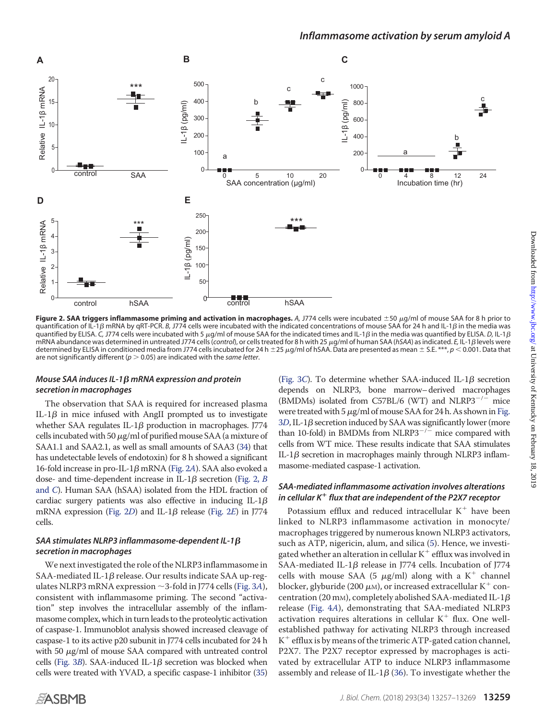<span id="page-4-0"></span>

Figure 2. SAA triggers inflammasome priming and activation in macrophages. A, J774 cells were incubated ±50 µg/ml of mouse SAA for 8 h prior to quantification of IL-1β mRNA by qRT-PCR. *B, J774* cells were incubated with the indicated concentrations of mouse SAA for 24 h and IL-1β in the media was quantified by ELISA. C, J774 cells were incubated with 5 µg/ml of mouse SAA for the indicated times and IL-1*β* in the media was quantified by ELISA. D, IL-1*β* mRNA abundance was determined in untreated J774 cells (*control*), or cells treated for 8 h with 25 μg/ml of human SAA (*hSAA*) as indicated. *E,* IL-1β levels were determined by ELISA in conditioned media from J774 cells incubated for 24 h  $\pm$  25  $\mu$ g/ml of hSAA. Data are presented as mean  $\pm$  S.E. \*\*\*,  $p$  < 0.001. Data that are not significantly different ( $p > 0.05$ ) are indicated with the *same letter*.

### Mouse SAA induces IL-1β mRNA expression and protein *secretion in macrophages*

The observation that SAA is required for increased plasma IL-1 $\beta$  in mice infused with AngII prompted us to investigate whether SAA regulates IL-1 $\beta$  production in macrophages. J774 cells incubated with 50  $\mu$ g/ml of purified mouse SAA (a mixture of SAA1.1 and SAA2.1, as well as small amounts of SAA3 [\(34\)](#page-13-14) that has undetectable levels of endotoxin) for 8 h showed a significant 16-fold increase in pro-IL-1β mRNA [\(Fig. 2](#page-4-0)A). SAA also evoked a dose- and time-dependent increase in IL-1 $\beta$  secretion [\(Fig. 2,](#page-4-0) *B* [and](#page-4-0) *C*). Human SAA (hSAA) isolated from the HDL fraction of cardiac surgery patients was also effective in inducing IL-1 $\beta$ mRNA expression [\(Fig. 2](#page-4-0)*D*) and IL-1β release (Fig. 2*E*) in J774 cells.

### *SAA stimulates NLRP3 inflammasome-dependent IL-1* β *secretion in macrophages*

We next investigated the role of the NLRP3 inflammasome in SAA-mediated IL-1 $\beta$  release. Our results indicate SAA up-regulates NLRP3 mRNA expression  $\sim$  3-fold in J774 cells [\(Fig. 3](#page-5-0)*A*), consistent with inflammasome priming. The second "activation" step involves the intracellular assembly of the inflammasome complex, which in turn leads to the proteolytic activation of caspase-1. Immunoblot analysis showed increased cleavage of caspase-1 to its active p20 subunit in J774 cells incubated for 24 h with 50  $\mu$ g/ml of mouse SAA compared with untreated control cells (Fig.  $3B$ ). SAA-induced IL-1 $\beta$  secretion was blocked when cells were treated with YVAD, a specific caspase-1 inhibitor [\(35\)](#page-13-15)

[\(Fig. 3](#page-5-0)C). To determine whether SAA-induced IL- $1\beta$  secretion depends on NLRP3, bone marrow–derived macrophages (BMDMs) isolated from C57BL/6 (WT) and NLRP3<sup>-/-</sup> mice were treated with 5  $\mu$ g/ml of mouse SAA for 24 h. As shown in [Fig.](#page-5-0)  $3D$  $3D$ , IL-1 $\beta$  secretion induced by SAA was significantly lower (more than 10-fold) in BMDMs from NLRP3<sup> $-/-$ </sup> mice compared with cells from WT mice. These results indicate that SAA stimulates IL-1 $\beta$  secretion in macrophages mainly through NLRP3 inflammasome-mediated caspase-1 activation.

### *SAA-mediated inflammasome activation involves alterations in cellular K flux that are independent of the P2X7 receptor*

Potassium efflux and reduced intracellular  $K^+$  have been linked to NLRP3 inflammasome activation in monocyte/ macrophages triggered by numerous known NLRP3 activators, such as ATP, nigericin, alum, and silica [\(5\)](#page-12-4). Hence, we investigated whether an alteration in cellular  $K^+$  efflux was involved in SAA-mediated IL-1 $\beta$  release in J774 cells. Incubation of J774 cells with mouse SAA (5  $\mu$ g/ml) along with a K<sup>+</sup> channel blocker, glyburide (200  $\mu$ m), or increased extracellular K<sup>+</sup> concentration (20 mm), completely abolished SAA-mediated IL-1 $\beta$ release [\(Fig. 4](#page-5-1)*A*), demonstrating that SAA-mediated NLRP3 activation requires alterations in cellular  $K^+$  flux. One wellestablished pathway for activating NLRP3 through increased  $K^+$  efflux is by means of the trimeric ATP-gated cation channel, P2X7. The P2X7 receptor expressed by macrophages is activated by extracellular ATP to induce NLRP3 inflammasome assembly and release of IL-1 $\beta$  [\(36\)](#page-13-16). To investigate whether the

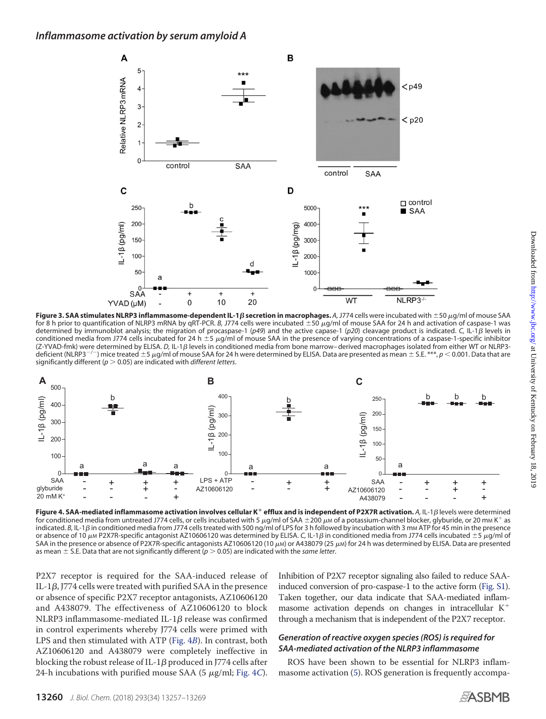<span id="page-5-0"></span>

**Figure 3. SAA stimulates NLRP3 inflammasome-dependent IL-1** $\beta$  **secretion in macrophages. A, J774 cells were incubated with ±50**  $\mu$ **g/ml of mouse SAA** for 8 h prior to quantification of NLRP3 mRNA by qRT-PCR. *B*, J774 cells were incubated ±50 µg/ml of mouse SAA for 24 h and activation of caspase-1 was determined by immunoblot analysis; the migration of procaspase-1 (*p49*) and the active capase-1 (*p20*) cleavage product is indicated. *C,* IL-1- levels in conditioned media from J774 cells incubated for 24 h  $\pm$ 5  $\mu$ g/ml of mouse SAA in the presence of varying concentrations of a caspase-1-specific inhibitor (Z-YVAD-fmk) were determined by ELISA. D, IL-1B levels in conditioned media from bone marrow– derived macrophages isolated from either WT or NLRP3deficient (NLRP3<sup>-/-</sup>) mice treated  $\pm$  5  $\mu$ g/ml of mouse SAA for 24 h were determined by ELISA. Data are presented as mean  $\pm$  S.E. \*\*\*,  $p$  < 0.001. Data that are significantly different ( $p > 0.05$ ) are indicated with *different letters*.

<span id="page-5-1"></span>

Figure 4. SAA-mediated inflammasome activation involves cellular K<sup>+</sup> efflux and is independent of P2X7R activation. A, IL-1 $\beta$  levels were determined for conditioned media from untreated J774 cells, or cells incubated with 5  $\mu$ g/ml of SAA  $\pm$ 200  $\mu$ M of a potassium-channel blocker, glyburide, or 20 mM K<sup>+</sup> as indicated. *B,* IL-1β in conditioned media from J774 cells treated with 500 ng/ml of LPS for 3 h followed by incubation with 3 mm ATP for 45 min in the presence or absence of 10  $\mu$ m P2X7R-specific antagonist AZ10606120 was determined by ELISA. C, IL-1 $\beta$  in conditioned media from J774 cells incubated  $\pm$ 5  $\mu$ g/ml of SAA in the presence or absence of P2X7R-specific antagonists AZ10606120 (10  $\mu$ M) or A438079 (25  $\mu$ M) for 24 h was determined by ELISA. Data are presented as mean  $\pm$  S.E. Data that are not significantly different ( $p > 0.05$ ) are indicated with the *same letter*.

P2X7 receptor is required for the SAA-induced release of IL-1 $\beta$ , J774 cells were treated with purified SAA in the presence or absence of specific P2X7 receptor antagonists, AZ10606120 and A438079. The effectiveness of AZ10606120 to block NLRP3 inflammasome-mediated IL-1 $\beta$  release was confirmed in control experiments whereby J774 cells were primed with LPS and then stimulated with ATP [\(Fig. 4](#page-5-1)*B*). In contrast, both AZ10606120 and A438079 were completely ineffective in blocking the robust release of IL-1 $\beta$  produced in J774 cells after 24-h incubations with purified mouse SAA (5  $\mu$ g/ml; [Fig. 4](#page-5-1)*C*).

Inhibition of P2X7 receptor signaling also failed to reduce SAAinduced conversion of pro-caspase-1 to the active form [\(Fig. S1\)](http://www.jbc.org/cgi/content/full/RA118.002428/DC1). Taken together, our data indicate that SAA-mediated inflammasome activation depends on changes in intracellular  $K^+$ through a mechanism that is independent of the P2X7 receptor.

### *Generation of reactive oxygen species (ROS) is required for SAA-mediated activation of the NLRP3 inflammasome*

ROS have been shown to be essential for NLRP3 inflammasome activation [\(5\)](#page-12-4). ROS generation is frequently accompa-

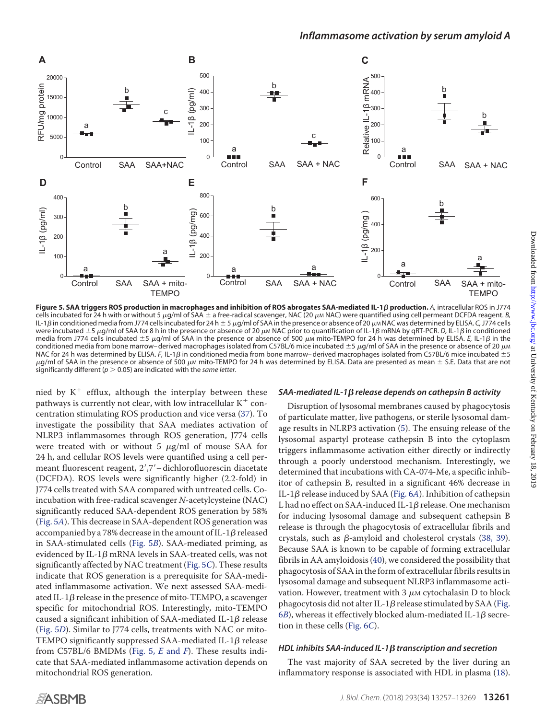<span id="page-6-0"></span>

**Figure 5. SAA triggers ROS production in macrophages and inhibition of ROS abrogates SAA-mediated IL-1**- **production.** *A,* intracellular ROS in J774 cells incubated for 24 h with or without 5  $\mu$ g/ml of SAA  $\pm$  a free-radical scavenger, NAC (20  $\mu$ M NAC) were quantified using cell permeant DCFDA reagent. *B*, IL-1 $\beta$  in conditioned media from J774 cells incubated for 24 h  $\pm$  5  $\mu$ g/ml of SAA in the presence or absence of 20  $\mu$ m NAC was determined by ELISA. C, J774 cells were incubated ±5 µg/ml of SAA for 8 h in the presence or absence of 20 µm NAC prior to quantification of lL-1 $\beta$  mRNA by qRT-PCR. D, IL-1 $\beta$  in conditioned media from J774 cells incubated  $\pm 5$   $\mu$ g/ml of SAA in the presence or absence of 500  $\mu$ m mito-TEMPO for 24 h was determined by ELISA. E, IL-1 $\beta$  in the conditioned media from bone marrow– derived macrophages isolated from C57BL/6 mice incubated  $\pm$ 5  $\mu$ g/ml of SAA in the presence or absence of 20  $\mu$ M NAC for 24 h was determined by ELISA. *F,* IL-1*β* in conditioned media from bone marrow– derived macrophages isolated from C57BL/6 mice incubated ±5  $\mu$ g/ml of SAA in the presence or absence of 500  $\mu$ m mito-TEMPO for 24 h was determined by ELISA. Data are presented as mean  $\pm$  S.E. Data that are not significantly different ( $p > 0.05$ ) are indicated with the *same letter*.

nied by  $K^+$  efflux, although the interplay between these pathways is currently not clear, with low intracellular  $K^+$  concentration stimulating ROS production and vice versa [\(37\)](#page-13-17). To investigate the possibility that SAA mediates activation of NLRP3 inflammasomes through ROS generation, J774 cells were treated with or without 5  $\mu$ g/ml of mouse SAA for 24 h, and cellular ROS levels were quantified using a cell permeant fluorescent reagent, 2′,7′–dichlorofluorescin diacetate (DCFDA). ROS levels were significantly higher (2.2-fold) in J774 cells treated with SAA compared with untreated cells. Coincubation with free-radical scavenger *N*-acetylcysteine (NAC) significantly reduced SAA-dependent ROS generation by 58% [\(Fig. 5](#page-6-0)*A*). This decrease in SAA-dependent ROS generation was accompanied by a 78% decrease in the amount of IL-1 $\beta$  released in SAA-stimulated cells [\(Fig. 5](#page-6-0)*B*). SAA-mediated priming, as evidenced by IL-1 $\beta$  mRNA levels in SAA-treated cells, was not significantly affected by NAC treatment [\(Fig. 5](#page-6-0)*C*). These results indicate that ROS generation is a prerequisite for SAA-mediated inflammasome activation. We next assessed SAA-mediated IL-1 $\beta$  release in the presence of mito-TEMPO, a scavenger specific for mitochondrial ROS. Interestingly, mito-TEMPO caused a significant inhibition of SAA-mediated IL-1 $\beta$  release [\(Fig. 5](#page-6-0)*D*). Similar to J774 cells, treatments with NAC or mito-TEMPO significantly suppressed SAA-mediated IL-1 $\beta$  release from C57BL/6 BMDMs [\(Fig. 5,](#page-6-0) *E* and *F*). These results indicate that SAA-mediated inflammasome activation depends on mitochondrial ROS generation.

## *SAA-mediated IL-1*- *release depends on cathepsin B activity*

Disruption of lysosomal membranes caused by phagocytosis of particulate matter, live pathogens, or sterile lysosomal damage results in NLRP3 activation [\(5\)](#page-12-4). The ensuing release of the lysosomal aspartyl protease cathepsin B into the cytoplasm triggers inflammasome activation either directly or indirectly through a poorly understood mechanism. Interestingly, we determined that incubations with CA-074-Me, a specific inhibitor of cathepsin B, resulted in a significant 46% decrease in IL-1β release induced by SAA [\(Fig. 6](#page-7-0)*A*). Inhibition of cathepsin L had no effect on SAA-induced IL-1 $\beta$  release. One mechanism for inducing lysosomal damage and subsequent cathepsin B release is through the phagocytosis of extracellular fibrils and crystals, such as  $\beta$ -amyloid and cholesterol crystals [\(38,](#page-13-18) [39\)](#page-13-19). Because SAA is known to be capable of forming extracellular fibrils in AA amyloidosis [\(40\)](#page-13-20), we considered the possibility that phagocytosis of SAA in the form of extracellular fibrils results in lysosomal damage and subsequent NLRP3 inflammasome activation. However, treatment with  $3 \mu$ M cytochalasin D to block phagocytosis did not alter IL-1 $\beta$  release stimulated by SAA [\(Fig.](#page-7-0) 6*[B](#page-7-0)*), whereas it effectively blocked alum-mediated IL-1 $\beta$  secretion in these cells [\(Fig. 6](#page-7-0)*C*).

## *HDL inhibits SAA-induced IL-1*- *transcription and secretion*

The vast majority of SAA secreted by the liver during an inflammatory response is associated with HDL in plasma [\(18\)](#page-13-1).

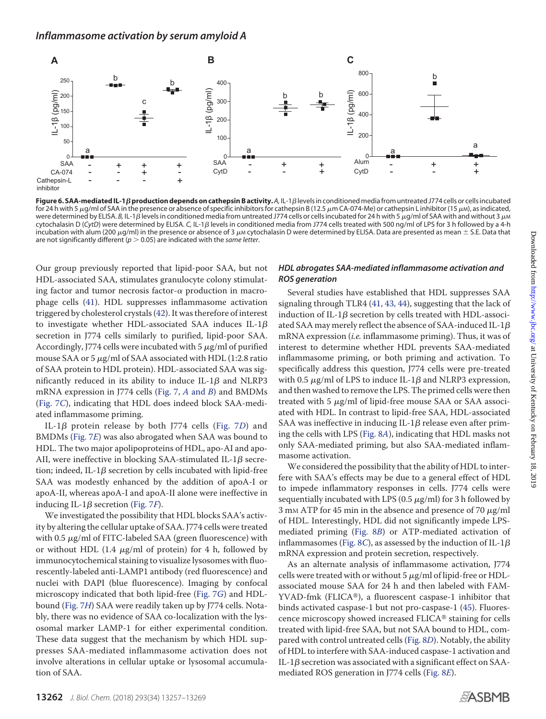<span id="page-7-0"></span>

**Figure 6. SAA-mediated IL-1***ß* **production depends on cathepsin B activity.** A, IL-1ß levels in conditioned media from untreated J774 cells or cells incubated for 24 h with 5  $\mu$ g/ml of SAA in the presence or absence of specific inhibitors for cathepsin B (12.5  $\mu$ m CA-074-Me) or cathepsin L inhibitor (15  $\mu$ M), as indicated, were determined by ELISA. *B,* IL-1*β* levels in conditioned media from untreated J774 cells or cells incubated for 24 h with 5  $\mu$ g/ml of SAA with and without 3  $\mu$ м cytochalasin D (CytD) were determined by ELISA. C, IL-1*β* levels in conditioned media from J774 cells treated with 500 ng/ml of LPS for 3 h followed by a 4-h incubation with alum (200  $\mu$ g/ml) in the presence or absence of 3  $\mu$ M cytochalasin D were determined by ELISA. Data are presented as mean  $\pm$  S.E. Data that are not significantly different ( $p > 0.05$ ) are indicated with the *same letter*.

Our group previously reported that lipid-poor SAA, but not HDL-associated SAA, stimulates granulocyte colony stimulating factor and tumor necrosis factor- $\alpha$  production in macrophage cells [\(41\)](#page-13-21). HDL suppresses inflammasome activation triggered by cholesterol crystals [\(42\)](#page-13-22). It was therefore of interest to investigate whether HDL-associated SAA induces IL-1 $\beta$ secretion in J774 cells similarly to purified, lipid-poor SAA. Accordingly, J774 cells were incubated with 5  $\mu$ g/ml of purified mouse SAA or  $5 \mu$ g/ml of SAA associated with HDL (1:2.8 ratio of SAA protein to HDL protein). HDL-associated SAA was significantly reduced in its ability to induce IL-1 $\beta$  and NLRP3 mRNA expression in J774 cells [\(Fig. 7,](#page-8-0) *A* and *B*) and BMDMs [\(Fig. 7](#page-8-0)*C*), indicating that HDL does indeed block SAA-mediated inflammasome priming.

IL-1β protein release by both J774 cells [\(Fig. 7](#page-8-0)D) and BMDMs [\(Fig. 7](#page-8-0)*E*) was also abrogated when SAA was bound to HDL. The two major apolipoproteins of HDL, apo-AI and apo-AII, were ineffective in blocking SAA-stimulated IL-1 $\beta$  secretion; indeed, IL-1 $\beta$  secretion by cells incubated with lipid-free SAA was modestly enhanced by the addition of apoA-I or apoA-II, whereas apoA-I and apoA-II alone were ineffective in inducing IL-1 $\beta$  secretion [\(Fig. 7](#page-8-0)*F*).

We investigated the possibility that HDL blocks SAA's activity by altering the cellular uptake of SAA. J774 cells were treated with 0.5  $\mu$ g/ml of FITC-labeled SAA (green fluorescence) with or without HDL  $(1.4 \mu g/ml)$  of protein) for 4 h, followed by immunocytochemical staining to visualize lysosomes with fluorescently-labeled anti-LAMP1 antibody (red fluorescence) and nuclei with DAPI (blue fluorescence). Imaging by confocal microscopy indicated that both lipid-free [\(Fig. 7](#page-8-0)*G*) and HDLbound [\(Fig. 7](#page-8-0)*H*) SAA were readily taken up by J774 cells. Notably, there was no evidence of SAA co-localization with the lysosomal marker LAMP-1 for either experimental condition. These data suggest that the mechanism by which HDL suppresses SAA-mediated inflammasome activation does not involve alterations in cellular uptake or lysosomal accumulation of SAA.

### *HDL abrogates SAA-mediated inflammasome activation and ROS generation*

Several studies have established that HDL suppresses SAA signaling through TLR4 [\(41,](#page-13-21) [43,](#page-13-23) [44\)](#page-13-24), suggesting that the lack of induction of IL-1 $\beta$  secretion by cells treated with HDL-associated SAA may merely reflect the absence of SAA-induced IL-1 $\beta$ mRNA expression (*i.e.* inflammasome priming). Thus, it was of interest to determine whether HDL prevents SAA-mediated inflammasome priming, or both priming and activation. To specifically address this question, J774 cells were pre-treated with 0.5  $\mu$ g/ml of LPS to induce IL-1 $\beta$  and NLRP3 expression, and then washed to remove the LPS. The primed cells were then treated with  $5 \mu g/ml$  of lipid-free mouse SAA or SAA associated with HDL. In contrast to lipid-free SAA, HDL-associated SAA was ineffective in inducing IL-1 $\beta$  release even after priming the cells with LPS [\(Fig. 8](#page-9-0)*A*), indicating that HDL masks not only SAA-mediated priming, but also SAA-mediated inflammasome activation.

We considered the possibility that the ability of HDL to interfere with SAA's effects may be due to a general effect of HDL to impede inflammatory responses in cells. J774 cells were sequentially incubated with LPS (0.5  $\mu$ g/ml) for 3 h followed by 3 mm ATP for 45 min in the absence and presence of 70  $\mu$ g/ml of HDL. Interestingly, HDL did not significantly impede LPSmediated priming [\(Fig. 8](#page-9-0)*B*) or ATP-mediated activation of inflammasomes [\(Fig. 8](#page-9-0)*C*), as assessed by the induction of IL-1 $\beta$ mRNA expression and protein secretion, respectively.

As an alternate analysis of inflammasome activation, J774 cells were treated with or without  $5 \mu g/ml$  of lipid-free or HDLassociated mouse SAA for 24 h and then labeled with FAM-YVAD-fmk (FLICA®), a fluorescent caspase-1 inhibitor that binds activated caspase-1 but not pro-caspase-1 [\(45\)](#page-13-25). Fluorescence microscopy showed increased FLICA® staining for cells treated with lipid-free SAA, but not SAA bound to HDL, compared with control untreated cells [\(Fig. 8](#page-9-0)*D*). Notably, the ability of HDL to interfere with SAA-induced caspase-1 activation and IL-1 $\beta$  secretion was associated with a significant effect on SAAmediated ROS generation in J774 cells [\(Fig. 8](#page-9-0)*E*).

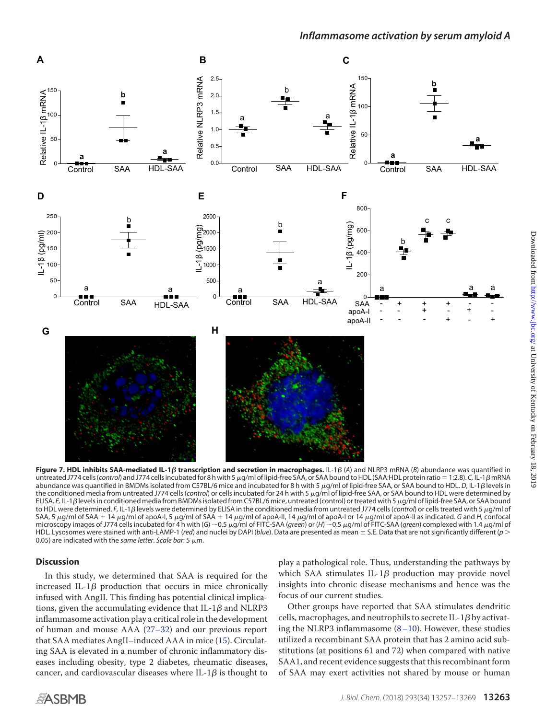<span id="page-8-0"></span>

**Figure 7. HDL inhibits SAA-mediated IL-1** $\beta$  **transcription and secretion in macrophages. IL-1** $\beta$  **(A) and NLRP3 mRNA (B) abundance was quantified in** untreated J774 cells (*control*) and J774 cells incubated for 8 h with 5 μg/ml of lipid-free SAA, or SAA bound to HDL (SAA:HDL protein ratio = 1:2.8). *C*, IL-1β mRNA abundance was quantified in BMDMs isolated from C57BL/6 mice and incubated for 8 h with 5  $\mu$ g/ml of lipid-free SAA, or SAA bound to HDL. D, IL-1 $\beta$  levels in the conditioned media from untreated J774 cells (*control*) or cells incubated for 24 h with 5  $\mu$ g/ml of lipid-free SAA, or SAA bound to HDL were determined by ELISA. *E,* IL-1 $\beta$  levels in conditioned media from BMDMs isolated from C57BL/6 mice, untreated (control) or treated with 5  $\mu$ g/ml of lipid-free SAA, or SAA bound to HDL were determined. *F,* IL-1 $\beta$  levels were determined by ELISA in the conditioned media from untreated J774 cells (*control*) or cells treated with 5  $\mu$ g/ml of SAA, 5 µg/ml of SAA + 14 µg/ml of apoA-I, 5 µg/ml of SAA + 14 µg/ml of apoA-II, 14 µg/ml of apoA-I or 14 µg/ml of apoA-II as indicated. G and *H*, confocal microscopy images of J774 cells incubated for 4 h with (*G*) ~0.5 μg/ml of FITC-SAA (*green*) or (*H*) ~0.5 μg/ml of FITC-SAA (*green*) complexed with 1.4 μg/ml of HDL. Lysosomes were stained with anti-LAMP-1 (*red*) and nuclei by DAPI (*blue*). Data are presented as mean S.E. Data that are not significantly different (*p* 0.05) are indicated with the *same letter*. *Scale bar*: 5  $\mu$ m.

### **Discussion**

In this study, we determined that SAA is required for the increased IL-1 $\beta$  production that occurs in mice chronically infused with AngII. This finding has potential clinical implications, given the accumulating evidence that IL-1 $\beta$  and NLRP3 inflammasome activation play a critical role in the development of human and mouse AAA [\(27–](#page-13-10)[32\)](#page-13-11) and our previous report that SAA mediates AngII–induced AAA in mice [\(15\)](#page-12-13). Circulating SAA is elevated in a number of chronic inflammatory diseases including obesity, type 2 diabetes, rheumatic diseases, cancer, and cardiovascular diseases where IL-1 $\beta$  is thought to play a pathological role. Thus, understanding the pathways by which SAA stimulates IL-1 $\beta$  production may provide novel insights into chronic disease mechanisms and hence was the focus of our current studies.

Other groups have reported that SAA stimulates dendritic cells, macrophages, and neutrophils to secrete IL-1 $\beta$  by activating the NLRP3 inflammasome [\(8–](#page-12-7)[10\)](#page-12-8). However, these studies utilized a recombinant SAA protein that has 2 amino acid substitutions (at positions 61 and 72) when compared with native SAA1, and recent evidence suggests that this recombinant form of SAA may exert activities not shared by mouse or human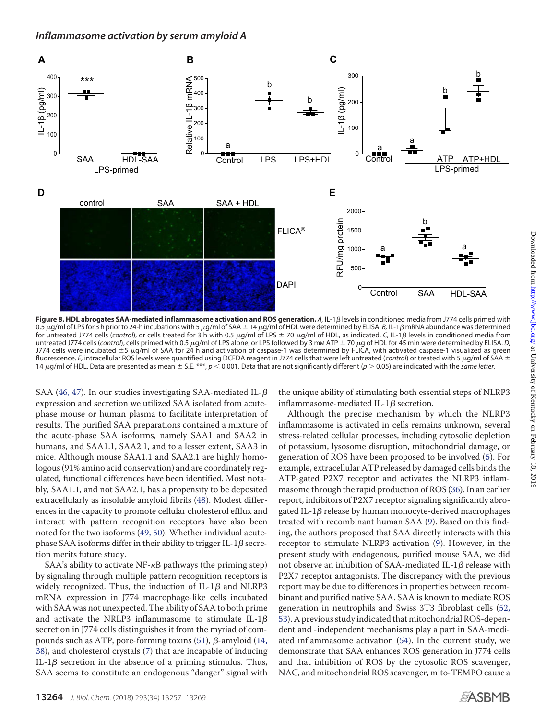<span id="page-9-0"></span>

**Figure 8. HDL abrogates SAA-mediated inflammasome activation and ROS generation.** *A,* **IL-1***β* **levels in conditioned media from J774 cells primed with** 0.5  $\mu$ g/ml of LPS for 3 h prior to 24-h incubations with 5  $\mu$ g/ml of SAA  $\pm$  14  $\mu$ g/ml of HDL were determined by ELISA. *B,* IL-1 $\beta$  mRNA abundance was determined for untreated J774 cells (control), or cells treated for 3 h with 0.5 μg/ml of LPS ± 70 μg/ml of HDL, as indicated. C, IL-1β levels in conditioned media from untreated J774 cells (*control*), cells primed with 0.5  $\mu$ g/ml of LPS alone, or LPS followed by 3 mm ATP  $\pm$  70  $\mu$ g of HDL for 45 min were determined by ELISA. *D*, J774 cells were incubated  $\pm 5$   $\mu$ g/ml of SAA for 24 h and activation of caspase-1 was determined by FLICA, with activated caspase-1 visualized as green fluorescence. *E*, intracellular ROS levels were quantified using DCFDA reagent in J774 cells that were left untreated (*control*) or treated with 5  $\mu$ g/ml of SAA ± 14  $\mu$ g/ml of HDL. Data are presented as mean  $\pm$  S.E. \*\*\*,  $p < 0.001$ . Data that are not significantly different ( $p > 0.05$ ) are indicated with the *same letter*.

SAA [\(46,](#page-13-26) [47\)](#page-13-27). In our studies investigating SAA-mediated IL- $\beta$ expression and secretion we utilized SAA isolated from acutephase mouse or human plasma to facilitate interpretation of results. The purified SAA preparations contained a mixture of the acute-phase SAA isoforms, namely SAA1 and SAA2 in humans, and SAA1.1, SAA2.1, and to a lesser extent, SAA3 in mice. Although mouse SAA1.1 and SAA2.1 are highly homologous (91% amino acid conservation) and are coordinately regulated, functional differences have been identified. Most notably, SAA1.1, and not SAA2.1, has a propensity to be deposited extracellularly as insoluble amyloid fibrils [\(48\)](#page-13-28). Modest differences in the capacity to promote cellular cholesterol efflux and interact with pattern recognition receptors have also been noted for the two isoforms [\(49,](#page-14-0) [50\)](#page-14-1). Whether individual acutephase SAA isoforms differ in their ability to trigger IL-1 $\beta$  secretion merits future study.

SAA's ability to activate  $NF$ - $\kappa$ B pathways (the priming step) by signaling through multiple pattern recognition receptors is widely recognized. Thus, the induction of IL-1 $\beta$  and NLRP3 mRNA expression in J774 macrophage-like cells incubated with SAA was not unexpected. The ability of SAA to both prime and activate the NRLP3 inflammasome to stimulate IL-1 $\beta$ secretion in J774 cells distinguishes it from the myriad of com-pounds such as ATP, pore-forming toxins [\(51\)](#page-14-2),  $\beta$ -amyloid [\(14,](#page-12-12) [38\)](#page-13-18), and cholesterol crystals [\(7\)](#page-12-6) that are incapable of inducing IL-1 $\beta$  secretion in the absence of a priming stimulus. Thus, SAA seems to constitute an endogenous "danger" signal with

the unique ability of stimulating both essential steps of NLRP3 inflammasome-mediated IL-1 $\beta$  secretion.

Although the precise mechanism by which the NLRP3 inflammasome is activated in cells remains unknown, several stress-related cellular processes, including cytosolic depletion of potassium, lysosome disruption, mitochondrial damage, or generation of ROS have been proposed to be involved [\(5\)](#page-12-4). For example, extracellular ATP released by damaged cells binds the ATP-gated P2X7 receptor and activates the NLRP3 inflammasome through the rapid production of ROS [\(36\)](#page-13-16). In an earlier report, inhibitors of P2X7 receptor signaling significantly abrogated IL-1 $\beta$  release by human monocyte-derived macrophages treated with recombinant human SAA [\(9\)](#page-12-15). Based on this finding, the authors proposed that SAA directly interacts with this receptor to stimulate NLRP3 activation [\(9\)](#page-12-15). However, in the present study with endogenous, purified mouse SAA, we did not observe an inhibition of SAA-mediated IL-1 $\beta$  release with P2X7 receptor antagonists. The discrepancy with the previous report may be due to differences in properties between recombinant and purified native SAA. SAA is known to mediate ROS generation in neutrophils and Swiss 3T3 fibroblast cells [\(52,](#page-14-3) [53\)](#page-14-4). A previous study indicated that mitochondrial ROS-dependent and -independent mechanisms play a part in SAA-mediated inflammasome activation [\(54\)](#page-14-5). In the current study, we demonstrate that SAA enhances ROS generation in J774 cells and that inhibition of ROS by the cytosolic ROS scavenger, NAC, and mitochondrial ROS scavenger, mito-TEMPO cause a

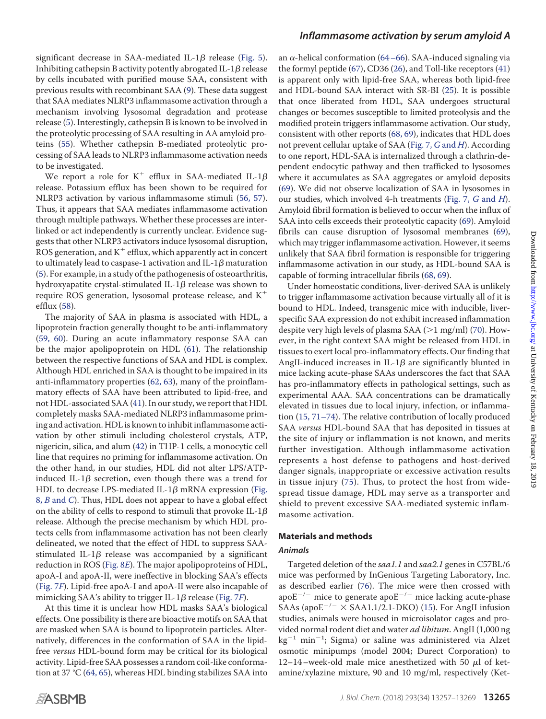significant decrease in SAA-mediated IL-1 $\beta$  release [\(Fig. 5\)](#page-6-0). Inhibiting cathepsin B activity potently abrogated IL-1 $\beta$  release by cells incubated with purified mouse SAA, consistent with previous results with recombinant SAA [\(9\)](#page-12-15). These data suggest that SAA mediates NLRP3 inflammasome activation through a mechanism involving lysosomal degradation and protease release [\(5\)](#page-12-4). Interestingly, cathepsin B is known to be involved in the proteolytic processing of SAA resulting in AA amyloid proteins [\(55\)](#page-14-6). Whether cathepsin B-mediated proteolytic processing of SAA leads to NLRP3 inflammasome activation needs to be investigated.

We report a role for  $K^+$  efflux in SAA-mediated IL-1 $\beta$ release. Potassium efflux has been shown to be required for NLRP3 activation by various inflammasome stimuli [\(56,](#page-14-7) [57\)](#page-14-8). Thus, it appears that SAA mediates inflammasome activation through multiple pathways. Whether these processes are interlinked or act independently is currently unclear. Evidence suggests that other NLRP3 activators induce lysosomal disruption, ROS generation, and  $K^+$  efflux, which apparently act in concert to ultimately lead to caspase-1 activation and IL-1 $\beta$  maturation [\(5\)](#page-12-4). For example, in a study of the pathogenesis of osteoarthritis, hydroxyapatite crystal-stimulated IL-1 $\beta$  release was shown to require ROS generation, lysosomal protease release, and  $K^+$ efflux [\(58\)](#page-14-9).

The majority of SAA in plasma is associated with HDL, a lipoprotein fraction generally thought to be anti-inflammatory [\(59,](#page-14-10) [60\)](#page-14-11). During an acute inflammatory response SAA can be the major apolipoprotein on HDL [\(61\)](#page-14-12). The relationship between the respective functions of SAA and HDL is complex. Although HDL enriched in SAA is thought to be impaired in its anti-inflammatory properties [\(62,](#page-14-13) [63\)](#page-14-14), many of the proinflammatory effects of SAA have been attributed to lipid-free, and not HDL-associated SAA [\(41\)](#page-13-21). In our study, we report that HDL completely masks SAA-mediated NLRP3 inflammasome priming and activation. HDL is known to inhibit inflammasome activation by other stimuli including cholesterol crystals, ATP, nigericin, silica, and alum [\(42\)](#page-13-22) in THP-1 cells, a monocytic cell line that requires no priming for inflammasome activation. On the other hand, in our studies, HDL did not alter LPS/ATPinduced IL-1 $\beta$  secretion, even though there was a trend for HDL to decrease LPS-mediated IL-1 $\beta$  mRNA expression [\(Fig.](#page-9-0) 8, *B* [and](#page-9-0) *C*). Thus, HDL does not appear to have a global effect on the ability of cells to respond to stimuli that provoke IL-1 $\beta$ release. Although the precise mechanism by which HDL protects cells from inflammasome activation has not been clearly delineated, we noted that the effect of HDL to suppress SAAstimulated IL-1 $\beta$  release was accompanied by a significant reduction in ROS [\(Fig. 8](#page-9-0)*E*). The major apolipoproteins of HDL, apoA-I and apoA-II, were ineffective in blocking SAA's effects [\(Fig. 7](#page-8-0)*F*). Lipid-free apoA-I and apoA-II were also incapable of mimicking SAA's ability to trigger IL-1β release [\(Fig. 7](#page-8-0)*F*).

At this time it is unclear how HDL masks SAA's biological effects. One possibility is there are bioactive motifs on SAA that are masked when SAA is bound to lipoprotein particles. Alternatively, differences in the conformation of SAA in the lipidfree *versus* HDL-bound form may be critical for its biological activity. Lipid-free SAA possesses a random coil-like conformation at 37 °C [\(64,](#page-14-15) [65\)](#page-14-16), whereas HDL binding stabilizes SAA into

## *Inflammasome activation by serum amyloid A*

an  $\alpha$ -helical conformation [\(64–](#page-14-15)[66\)](#page-14-17). SAA-induced signaling via the formyl peptide [\(67\)](#page-14-18), CD36 [\(26\)](#page-13-9), and Toll-like receptors [\(41\)](#page-13-21) is apparent only with lipid-free SAA, whereas both lipid-free and HDL-bound SAA interact with SR-BI [\(25\)](#page-13-8). It is possible that once liberated from HDL, SAA undergoes structural changes or becomes susceptible to limited proteolysis and the modified protein triggers inflammasome activation. Our study, consistent with other reports [\(68,](#page-14-19) [69\)](#page-14-20), indicates that HDL does not prevent cellular uptake of SAA [\(Fig. 7,](#page-8-0) *G* and *H*). According to one report, HDL-SAA is internalized through a clathrin-dependent endocytic pathway and then trafficked to lysosomes where it accumulates as SAA aggregates or amyloid deposits [\(69\)](#page-14-20). We did not observe localization of SAA in lysosomes in our studies, which involved 4-h treatments [\(Fig. 7,](#page-8-0) *G* and *H*). Amyloid fibril formation is believed to occur when the influx of SAA into cells exceeds their proteolytic capacity [\(69\)](#page-14-20). Amyloid fibrils can cause disruption of lysosomal membranes [\(69\)](#page-14-20), which may trigger inflammasome activation. However, it seems unlikely that SAA fibril formation is responsible for triggering inflammasome activation in our study, as HDL-bound SAA is capable of forming intracellular fibrils [\(68,](#page-14-19) [69\)](#page-14-20).

Under homeostatic conditions, liver-derived SAA is unlikely to trigger inflammasome activation because virtually all of it is bound to HDL. Indeed, transgenic mice with inducible, liverspecific SAA expression do not exhibit increased inflammation despite very high levels of plasma SAA ( $>1$  mg/ml) [\(70\)](#page-14-21). However, in the right context SAA might be released from HDL in tissues to exert local pro-inflammatory effects. Our finding that AngII-induced increases in IL-1 $\beta$  are significantly blunted in mice lacking acute-phase SAAs underscores the fact that SAA has pro-inflammatory effects in pathological settings, such as experimental AAA. SAA concentrations can be dramatically elevated in tissues due to local injury, infection, or inflammation (15, 71–74). The relative contribution of locally produced SAA *versus* HDL-bound SAA that has deposited in tissues at the site of injury or inflammation is not known, and merits further investigation. Although inflammasome activation represents a host defense to pathogens and host-derived danger signals, inappropriate or excessive activation results in tissue injury [\(75\)](#page-14-22). Thus, to protect the host from widespread tissue damage, HDL may serve as a transporter and shield to prevent excessive SAA-mediated systemic inflammasome activation.

### **Materials and methods**

#### *Animals*

Targeted deletion of the *saa1.1* and *saa2.1* genes in C57BL/6 mice was performed by InGenious Targeting Laboratory, Inc. as described earlier [\(76\)](#page-14-23). The mice were then crossed with apo $E^{-/-}$  mice to generate apo $E^{-/-}$  mice lacking acute-phase SAAs (apo $E^{-/-} \times$  SAA1.1/2.1-DKO) [\(15\)](#page-12-13). For AngII infusion studies, animals were housed in microisolator cages and provided normal rodent diet and water *ad libitum*. AngII (1,000 ng  $\text{kg}^{-1}$  min $^{-1}$ ; Sigma) or saline was administered via Alzet osmotic minipumps (model 2004; Durect Corporation) to 12–14–week-old male mice anesthetized with 50  $\mu$ l of ketamine/xylazine mixture, 90 and 10 mg/ml, respectively (Ket-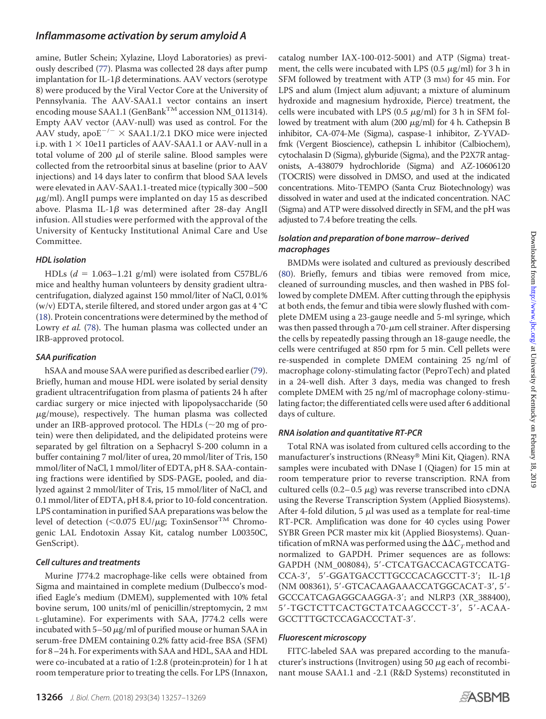# *Inflammasome activation by serum amyloid A*

amine, Butler Schein; Xylazine, Lloyd Laboratories) as previously described [\(77\)](#page-14-24). Plasma was collected 28 days after pump implantation for IL-1 $\beta$  determinations. AAV vectors (serotype 8) were produced by the Viral Vector Core at the University of Pennsylvania. The AAV-SAA1.1 vector contains an insert encoding mouse SAA1.1 (GenBank<sup>TM</sup> accession NM\_011314). Empty AAV vector (AAV-null) was used as control. For the AAV study, apo $E^{-/-} \times$  SAA1.1/2.1 DKO mice were injected i.p. with  $1 \times 10e11$  particles of AAV-SAA1.1 or AAV-null in a total volume of 200  $\mu$ l of sterile saline. Blood samples were collected from the retroorbital sinus at baseline (prior to AAV injections) and 14 days later to confirm that blood SAA levels were elevated in AAV-SAA1.1-treated mice (typically 300–500  $\mu$ g/ml). AngII pumps were implanted on day 15 as described above. Plasma IL-1 $\beta$  was determined after 28-day AngII infusion. All studies were performed with the approval of the University of Kentucky Institutional Animal Care and Use Committee.

# *HDL isolation*

HDLs  $(d = 1.063 - 1.21$  g/ml) were isolated from C57BL/6 mice and healthy human volunteers by density gradient ultracentrifugation, dialyzed against 150 mmol/liter of NaCl, 0.01% (w/v) EDTA, sterile filtered, and stored under argon gas at 4 °C [\(18\)](#page-13-1). Protein concentrations were determined by the method of Lowry *et al.* [\(78\)](#page-14-25). The human plasma was collected under an IRB-approved protocol.

# *SAA purification*

hSAA and mouse SAA were purified as described earlier [\(79\)](#page-14-26). Briefly, human and mouse HDL were isolated by serial density gradient ultracentrifugation from plasma of patients 24 h after cardiac surgery or mice injected with lipopolysaccharide (50  $\mu$ g/mouse), respectively. The human plasma was collected under an IRB-approved protocol. The HDLs  $(\sim 20 \text{ mg of pro-}$ tein) were then delipidated, and the delipidated proteins were separated by gel filtration on a Sephacryl S-200 column in a buffer containing 7 mol/liter of urea, 20 mmol/liter of Tris, 150 mmol/liter of NaCl, 1 mmol/liter of EDTA, pH 8. SAA-containing fractions were identified by SDS-PAGE, pooled, and dialyzed against 2 mmol/liter of Tris, 15 mmol/liter of NaCl, and 0.1 mmol/liter of EDTA, pH 8.4, prior to 10-fold concentration. LPS contamination in purified SAA preparations was below the level of detection ( $\langle 0.075 \text{ EU/mg}$ ; ToxinSensor<sup>TM</sup> Chromogenic LAL Endotoxin Assay Kit, catalog number L00350C, GenScript).

# *Cell cultures and treatments*

Murine J774.2 macrophage-like cells were obtained from Sigma and maintained in complete medium (Dulbecco's modified Eagle's medium (DMEM), supplemented with 10% fetal bovine serum, 100 units/ml of penicillin/streptomycin, 2 mm L-glutamine). For experiments with SAA, J774.2 cells were incubated with  $5-50 \mu g/ml$  of purified mouse or human SAA in serum-free DMEM containing 0.2% fatty acid-free BSA (SFM) for 8–24 h. For experiments with SAA and HDL, SAA and HDL were co-incubated at a ratio of 1:2.8 (protein:protein) for 1 h at room temperature prior to treating the cells. For LPS (Innaxon,

catalog number IAX-100-012-5001) and ATP (Sigma) treatment, the cells were incubated with LPS (0.5  $\mu$ g/ml) for 3 h in SFM followed by treatment with ATP (3 mm) for 45 min. For LPS and alum (Imject alum adjuvant; a mixture of aluminum hydroxide and magnesium hydroxide, Pierce) treatment, the cells were incubated with LPS (0.5  $\mu$ g/ml) for 3 h in SFM followed by treatment with alum (200  $\mu$ g/ml) for 4 h. Cathepsin B inhibitor, CA-074-Me (Sigma), caspase-1 inhibitor, Z-YVADfmk (Vergent Bioscience), cathepsin L inhibitor (Calbiochem), cytochalasin D (Sigma), glyburide (Sigma), and the P2X7R antagonists, A-438079 hydrochloride (Sigma) and AZ-10606120 (TOCRIS) were dissolved in DMSO, and used at the indicated concentrations. Mito-TEMPO (Santa Cruz Biotechnology) was dissolved in water and used at the indicated concentration. NAC (Sigma) and ATP were dissolved directly in SFM, and the pH was adjusted to 7.4 before treating the cells.

# *Isolation and preparation of bone marrow– derived macrophages*

BMDMs were isolated and cultured as previously described [\(80\)](#page-14-27). Briefly, femurs and tibias were removed from mice, cleaned of surrounding muscles, and then washed in PBS followed by complete DMEM. After cutting through the epiphysis at both ends, the femur and tibia were slowly flushed with complete DMEM using a 23-gauge needle and 5-ml syringe, which was then passed through a  $70$ - $\mu$ m cell strainer. After dispersing the cells by repeatedly passing through an 18-gauge needle, the cells were centrifuged at 850 rpm for 5 min. Cell pellets were re-suspended in complete DMEM containing 25 ng/ml of macrophage colony-stimulating factor (PeproTech) and plated in a 24-well dish. After 3 days, media was changed to fresh complete DMEM with 25 ng/ml of macrophage colony-stimulating factor; the differentiated cells were used after 6 additional days of culture.

# *RNA isolation and quantitative RT-PCR*

Total RNA was isolated from cultured cells according to the manufacturer's instructions (RNeasy® Mini Kit, Qiagen). RNA samples were incubated with DNase I (Qiagen) for 15 min at room temperature prior to reverse transcription. RNA from cultured cells  $(0.2-0.5 \mu g)$  was reverse transcribed into cDNA using the Reverse Transcription System (Applied Biosystems). After 4-fold dilution, 5  $\mu$ l was used as a template for real-time RT-PCR. Amplification was done for 40 cycles using Power SYBR Green PCR master mix kit (Applied Biosystems). Quantification of mRNA was performed using the  $\Delta\Delta C_T$  method and normalized to GAPDH. Primer sequences are as follows: GAPDH (NM\_008084), 5′-CTCATGACCACAGTCCATG- $CCA-3', 5'-GGATGACCTTGCCCACACAGCCTT-3'; IL-1 $\beta$$ (NM 008361), 5'-GTCACAAGAAACCATGGCACAT-3', 5'-GCCCATCAGAGGCAAGGA-3'; and NLRP3 (XR\_388400), 5'-TGCTCTTCACTGCTATCAAGCCCT-3', 5'-ACAA-GCCTTTGCTCCAGACCCTAT-3'.

# *Fluorescent microscopy*

FITC-labeled SAA was prepared according to the manufacturer's instructions (Invitrogen) using 50  $\mu$ g each of recombinant mouse SAA1.1 and -2.1 (R&D Systems) reconstituted in

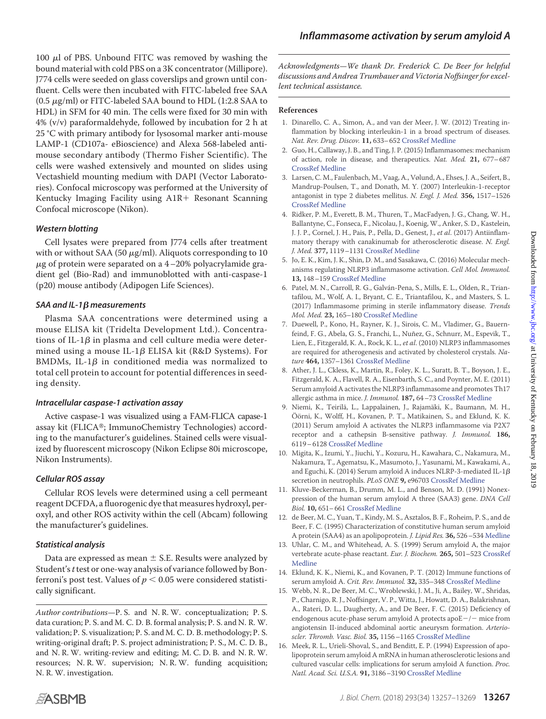100  $\mu$ l of PBS. Unbound FITC was removed by washing the bound material with cold PBS on a 3K concentrator (Millipore). J774 cells were seeded on glass coverslips and grown until confluent. Cells were then incubated with FITC-labeled free SAA (0.5  $\mu$ g/ml) or FITC-labeled SAA bound to HDL (1:2.8 SAA to HDL) in SFM for 40 min. The cells were fixed for 30 min with 4% (v/v) paraformaldehyde, followed by incubation for 2 h at 25 °C with primary antibody for lysosomal marker anti-mouse LAMP-1 (CD107a- eBioscience) and Alexa 568-labeled antimouse secondary antibody (Thermo Fisher Scientific). The cells were washed extensively and mounted on slides using Vectashield mounting medium with DAPI (Vector Laboratories). Confocal microscopy was performed at the University of Kentucky Imaging Facility using A1R+ Resonant Scanning Confocal microscope (Nikon).

## *Western blotting*

Cell lysates were prepared from J774 cells after treatment with or without SAA (50  $\mu$ g/ml). Aliquots corresponding to 10  $\mu$ g of protein were separated on a 4-20% polyacrylamide gradient gel (Bio-Rad) and immunoblotted with anti-caspase-1 (p20) mouse antibody (Adipogen Life Sciences).

## *SAA and IL-1*- *measurements*

Plasma SAA concentrations were determined using a mouse ELISA kit (Tridelta Development Ltd.). Concentrations of IL-1 $\beta$  in plasma and cell culture media were determined using a mouse IL-1β ELISA kit (R&D Systems). For BMDMs, IL-1 $\beta$  in conditioned media was normalized to total cell protein to account for potential differences in seeding density.

### *Intracellular caspase-1 activation assay*

Active caspase-1 was visualized using a FAM-FLICA capase-1 assay kit (FLICA®; ImmunoChemistry Technologies) according to the manufacturer's guidelines. Stained cells were visualized by fluorescent microscopy (Nikon Eclipse 80i microscope, Nikon Instruments).

## *Cellular ROS assay*

Cellular ROS levels were determined using a cell permeant reagent DCFDA, a fluorogenic dye that measures hydroxyl, peroxyl, and other ROS activity within the cell (Abcam) following the manufacturer's guidelines.

## *Statistical analysis*

Data are expressed as mean  $\pm$  S.E. Results were analyzed by Student's*t*test or one-way analysis of variance followed by Bonferroni's post test. Values of  $p < 0.05$  were considered statistically significant.

*Author contributions*—P. S. and N. R. W. conceptualization; P. S. data curation; P. S. and M. C. D. B. formal analysis; P. S. and N. R. W. validation; P. S. visualization; P. S. and M. C. D. B. methodology; P. S. writing-original draft; P. S. project administration; P. S., M. C. D. B., and N. R. W. writing-review and editing; M. C. D. B. and N. R. W. resources; N. R. W. supervision; N. R. W. funding acquisition; N. R. W. investigation.

*Acknowledgments—We thank Dr. Frederick C. De Beer for helpful discussions and Andrea Trumbauer and Victoria Noffsinger for excellent technical assistance.*

### **References**

- <span id="page-12-0"></span>1. Dinarello, C. A., Simon, A., and van der Meer, J. W. (2012) Treating inflammation by blocking interleukin-1 in a broad spectrum of diseases. *Nat. Rev. Drug. Discov.* **11,** 633–652 [CrossRef](http://dx.doi.org/10.1038/nrd3800) [Medline](http://www.ncbi.nlm.nih.gov/pubmed/22850787)
- <span id="page-12-1"></span>2. Guo, H., Callaway, J. B., and Ting, J. P. (2015) Inflammasomes: mechanism of action, role in disease, and therapeutics. *Nat. Med.* **21,** 677–687 [CrossRef](http://dx.doi.org/10.1038/nm.3893) [Medline](http://www.ncbi.nlm.nih.gov/pubmed/26121197)
- <span id="page-12-2"></span>3. Larsen, C. M., Faulenbach, M., Vaag, A., Vølund, A., Ehses, J. A., Seifert, B., Mandrup-Poulsen, T., and Donath, M. Y. (2007) Interleukin-1-receptor antagonist in type 2 diabetes mellitus. *N. Engl. J. Med.* **356,** 1517–1526 [CrossRef](http://dx.doi.org/10.1056/NEJMoa065213) [Medline](http://www.ncbi.nlm.nih.gov/pubmed/17429083)
- <span id="page-12-3"></span>4. Ridker, P. M., Everett, B. M., Thuren, T., MacFadyen, J. G., Chang, W. H., Ballantyne, C., Fonseca, F., Nicolau, J., Koenig, W., Anker, S. D., Kastelein, J. J. P., Cornel, J. H., Pais, P., Pella, D., Genest, J., *et al*. (2017) Antiinflammatory therapy with canakinumab for atherosclerotic disease. *N. Engl. J. Med.* **377,** 1119–1131 [CrossRef](http://dx.doi.org/10.1056/NEJMoa1707914) [Medline](http://www.ncbi.nlm.nih.gov/pubmed/28845751)
- <span id="page-12-4"></span>5. Jo, E. K., Kim, J. K., Shin, D. M., and Sasakawa, C. (2016) Molecular mechanisms regulating NLRP3 inflammasome activation. *Cell Mol. Immunol.* **13,** 148–159 [CrossRef](http://dx.doi.org/10.1038/cmi.2015.95) [Medline](http://www.ncbi.nlm.nih.gov/pubmed/26549800)
- <span id="page-12-5"></span>6. Patel, M. N., Carroll, R. G., Galván-Pena, S., Mills, E. L., Olden, R., Triantafilou, M., Wolf, A. I., Bryant, C. E., Triantafilou, K., and Masters, S. L. (2017) Inflammasome priming in sterile inflammatory disease. *Trends Mol. Med.* **23,** 165–180 [CrossRef](http://dx.doi.org/10.1016/j.molmed.2016.12.007) [Medline](http://www.ncbi.nlm.nih.gov/pubmed/28109721)
- <span id="page-12-6"></span>7. Duewell, P., Kono, H., Rayner, K. J., Sirois, C. M., Vladimer, G., Bauernfeind, F. G., Abela, G. S., Franchi, L., Nuñez, G., Schnurr, M., Espevik, T., Lien, E., Fitzgerald, K. A., Rock, K. L., *et al*. (2010) NLRP3 inflammasomes are required for atherogenesis and activated by cholesterol crystals. *Nature* **464,** 1357–1361 [CrossRef](http://dx.doi.org/10.1038/nature08938) [Medline](http://www.ncbi.nlm.nih.gov/pubmed/20428172)
- <span id="page-12-7"></span>8. Ather, J. L., Ckless, K., Martin, R., Foley, K. L., Suratt, B. T., Boyson, J. E., Fitzgerald, K. A., Flavell, R. A., Eisenbarth, S. C., and Poynter, M. E. (2011) Serum amyloid A activates the NLRP3 inflammasome and promotes Th17 allergic asthma in mice. *J. Immunol.* **187,** 64–73 [CrossRef](http://dx.doi.org/10.4049/jimmunol.1100500) [Medline](http://www.ncbi.nlm.nih.gov/pubmed/21622869)
- <span id="page-12-15"></span>9. Niemi, K., Teirilä, L., Lappalainen, J., Rajamäki, K., Baumann, M. H., Öörni, K., Wolff, H., Kovanen, P. T., Matikainen, S., and Eklund, K. K. (2011) Serum amyloid A activates the NLRP3 inflammasome via P2X7 receptor and a cathepsin B-sensitive pathway. *J. Immunol.* **186,** 6119–6128 [CrossRef](http://dx.doi.org/10.4049/jimmunol.1002843) [Medline](http://www.ncbi.nlm.nih.gov/pubmed/21508263)
- <span id="page-12-8"></span>10. Migita, K., Izumi, Y., Jiuchi, Y., Kozuru, H., Kawahara, C., Nakamura, M., Nakamura, T., Agematsu, K., Masumoto, J., Yasunami, M., Kawakami, A., and Eguchi, K. (2014) Serum amyloid A induces NLRP-3-mediated IL-1 $\beta$ secretion in neutrophils. *PLoS ONE* **9,** e96703 [CrossRef](http://dx.doi.org/10.1371/journal.pone.0096703) [Medline](http://www.ncbi.nlm.nih.gov/pubmed/24846290)
- <span id="page-12-9"></span>11. Kluve-Beckerman, B., Drumm, M. L., and Benson, M. D. (1991) Nonexpression of the human serum amyloid A three (SAA3) gene. *DNA Cell Biol.* **10,** 651–661 [CrossRef](http://dx.doi.org/10.1089/dna.1991.10.651) [Medline](http://www.ncbi.nlm.nih.gov/pubmed/1755958)
- <span id="page-12-10"></span>12. de Beer, M. C., Yuan, T., Kindy, M. S., Asztalos, B. F., Roheim, P. S., and de Beer, F. C. (1995) Characterization of constitutive human serum amyloid A protein (SAA4) as an apolipoprotein. *J. Lipid Res.* **36,** 526–534 [Medline](http://www.ncbi.nlm.nih.gov/pubmed/7775864)
- <span id="page-12-11"></span>13. Uhlar, C. M., and Whitehead, A. S. (1999) Serum amyloid A, the major vertebrate acute-phase reactant. *Eur. J. Biochem.* **265,** 501–523 [CrossRef](http://dx.doi.org/10.1046/j.1432-1327.1999.00657.x) [Medline](http://www.ncbi.nlm.nih.gov/pubmed/10504381)
- <span id="page-12-12"></span>14. Eklund, K. K., Niemi, K., and Kovanen, P. T. (2012) Immune functions of serum amyloid A. *Crit. Rev. Immunol.* **32,** 335–348 [CrossRef](http://dx.doi.org/10.1615/CritRevImmunol.v32.i4.40) [Medline](http://www.ncbi.nlm.nih.gov/pubmed/23237509)
- <span id="page-12-13"></span>15. Webb, N. R., De Beer, M. C., Wroblewski, J. M., Ji, A., Bailey, W., Shridas, P., Charnigo, R. J., Noffsinger, V. P., Witta, J., Howatt, D. A., Balakrishnan, A., Rateri, D. L., Daugherty, A., and De Beer, F. C. (2015) Deficiency of endogenous acute-phase serum amyloid A protects apo $E-/-$  mice from angiotensin II-induced abdominal aortic aneurysm formation. *Arterioscler. Thromb. Vasc. Biol.* **35,** 1156–1165 [CrossRef](http://dx.doi.org/10.1161/ATVBAHA.114.304776) [Medline](http://www.ncbi.nlm.nih.gov/pubmed/25745063)
- <span id="page-12-14"></span>16. Meek, R. L., Urieli-Shoval, S., and Benditt, E. P. (1994) Expression of apolipoprotein serum amyloid A mRNA in human atherosclerotic lesions and cultured vascular cells: implications for serum amyloid A function. *Proc. Natl. Acad. Sci. U.S.A.* **91,** 3186–3190 [CrossRef](http://dx.doi.org/10.1073/pnas.91.8.3186) [Medline](http://www.ncbi.nlm.nih.gov/pubmed/8159722)

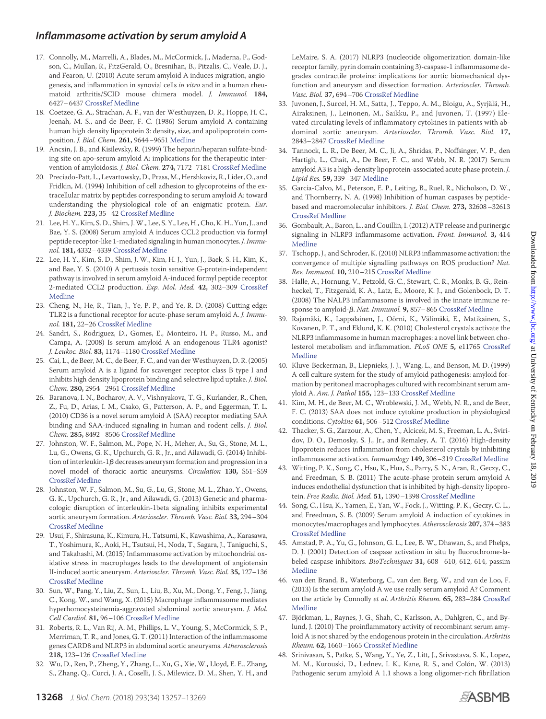- <span id="page-13-0"></span>17. Connolly, M., Marrelli, A., Blades, M., McCormick, J., Maderna, P., Godson, C., Mullan, R., FitzGerald, O., Bresnihan, B., Pitzalis, C., Veale, D. J., and Fearon, U. (2010) Acute serum amyloid A induces migration, angiogenesis, and inflammation in synovial cells *in vitro* and in a human rheumatoid arthritis/SCID mouse chimera model. *J. Immunol.* **184,** 6427–6437 [CrossRef](http://dx.doi.org/10.4049/jimmunol.0902941) [Medline](http://www.ncbi.nlm.nih.gov/pubmed/20435930)
- <span id="page-13-1"></span>18. Coetzee, G. A., Strachan, A. F., van der Westhuyzen, D. R., Hoppe, H. C., Jeenah, M. S., and de Beer, F. C. (1986) Serum amyloid A-containing human high density lipoprotein 3: density, size, and apolipoprotein composition. *J. Biol. Chem.* **261,** 9644–9651 [Medline](http://www.ncbi.nlm.nih.gov/pubmed/3525531)
- <span id="page-13-2"></span>19. Ancsin, J. B., and Kisilevsky, R. (1999) The heparin/heparan sulfate-binding site on apo-serum amyloid A: implications for the therapeutic intervention of amyloidosis. *J. Biol. Chem.* **274,** 7172–7181 [CrossRef](http://dx.doi.org/10.1074/jbc.274.11.7172) [Medline](http://www.ncbi.nlm.nih.gov/pubmed/10066777)
- <span id="page-13-3"></span>20. Preciado-Patt, L., Levartowsky, D., Prass, M., Hershkoviz, R., Lider, O., and Fridkin, M. (1994) Inhibition of cell adhesion to glycoproteins of the extracellular matrix by peptides corresponding to serum amyloid A: toward understanding the physiological role of an enigmatic protein. *Eur. J. Biochem.* **223,** 35–42 [CrossRef](http://dx.doi.org/10.1111/j.1432-1033.1994.tb18963.x) [Medline](http://www.ncbi.nlm.nih.gov/pubmed/8033906)
- <span id="page-13-4"></span>21. Lee, H. Y., Kim, S. D., Shim, J.W., Lee, S. Y., Lee, H., Cho, K. H., Yun, J., and Bae, Y. S. (2008) Serum amyloid A induces CCL2 production via formyl peptide receptor-like 1-mediated signaling in human monocytes. *J. Immunol.* **181,** 4332–4339 [CrossRef](http://dx.doi.org/10.4049/jimmunol.181.6.4332) [Medline](http://www.ncbi.nlm.nih.gov/pubmed/18768891)
- <span id="page-13-5"></span>22. Lee, H. Y., Kim, S. D., Shim, J. W., Kim, H. J., Yun, J., Baek, S. H., Kim, K., and Bae, Y. S. (2010) A pertussis toxin sensitive G-protein-independent pathway is involved in serum amyloid A-induced formyl peptide receptor 2-mediated CCL2 production. *Exp. Mol. Med.* **42,** 302–309 [CrossRef](http://dx.doi.org/10.3858/emm.2010.42.4.029) [Medline](http://www.ncbi.nlm.nih.gov/pubmed/20177146)
- <span id="page-13-6"></span>23. Cheng, N., He, R., Tian, J., Ye, P. P., and Ye, R. D. (2008) Cutting edge: TLR2 is a functional receptor for acute-phase serum amyloid A. *J. Immunol.* **181,** 22–26 [CrossRef](http://dx.doi.org/10.4049/jimmunol.181.1.22) [Medline](http://www.ncbi.nlm.nih.gov/pubmed/18566366)
- <span id="page-13-7"></span>24. Sandri, S., Rodriguez, D., Gomes, E., Monteiro, H. P., Russo, M., and Campa, A. (2008) Is serum amyloid A an endogenous TLR4 agonist? *J. Leukoc. Biol.* **83,** 1174–1180 [CrossRef](http://dx.doi.org/10.1189/jlb.0407203) [Medline](http://www.ncbi.nlm.nih.gov/pubmed/18252871)
- <span id="page-13-8"></span>25. Cai, L., de Beer, M. C., de Beer, F. C., and van der Westhuyzen, D. R. (2005) Serum amyloid A is a ligand for scavenger receptor class B type I and inhibits high density lipoprotein binding and selective lipid uptake. *J. Biol. Chem.* **280,** 2954–2961 [CrossRef](http://dx.doi.org/10.1074/jbc.M411555200) [Medline](http://www.ncbi.nlm.nih.gov/pubmed/15561721)
- <span id="page-13-9"></span>26. Baranova, I. N., Bocharov, A. V., Vishnyakova, T. G., Kurlander, R., Chen, Z., Fu, D., Arias, I. M., Csako, G., Patterson, A. P., and Eggerman, T. L. (2010) CD36 is a novel serum amyloid A (SAA) receptor mediating SAA binding and SAA-induced signaling in human and rodent cells. *J. Biol. Chem.* **285,** 8492–8506 [CrossRef](http://dx.doi.org/10.1074/jbc.M109.007526) [Medline](http://www.ncbi.nlm.nih.gov/pubmed/20075072)
- <span id="page-13-10"></span>27. Johnston, W. F., Salmon, M., Pope, N. H., Meher, A., Su, G., Stone, M. L., Lu, G., Owens, G. K., Upchurch, G. R., Jr., and Ailawadi, G. (2014) Inhibition of interleukin-1 $\beta$  decreases aneurysm formation and progression in a novel model of thoracic aortic aneurysms. *Circulation* **130,** S51–S59 [CrossRef](http://dx.doi.org/10.1161/CIRCULATIONAHA.113.006800) [Medline](http://www.ncbi.nlm.nih.gov/pubmed/25200056)
- 28. Johnston, W. F., Salmon, M., Su, G., Lu, G., Stone, M. L., Zhao, Y., Owens, G. K., Upchurch, G. R., Jr., and Ailawadi, G. (2013) Genetic and pharmacologic disruption of interleukin-1beta signaling inhibits experimental aortic aneurysm formation. *Arterioscler. Thromb. Vasc. Biol.* **33,** 294–304 [CrossRef](http://dx.doi.org/10.1161/ATVBAHA.112.300432) [Medline](http://www.ncbi.nlm.nih.gov/pubmed/23288154)
- <span id="page-13-13"></span>29. Usui, F., Shirasuna, K., Kimura, H., Tatsumi, K., Kawashima, A., Karasawa, T., Yoshimura, K., Aoki, H., Tsutsui, H., Noda, T., Sagara, J., Taniguchi, S., and Takahashi, M. (2015) Inflammasome activation by mitochondrial oxidative stress in macrophages leads to the development of angiotensin II-induced aortic aneurysm. *Arterioscler. Thromb. Vasc. Biol.* **35,** 127–136 [CrossRef](http://dx.doi.org/10.1161/ATVBAHA.114.303763) [Medline](http://www.ncbi.nlm.nih.gov/pubmed/25378412)
- 30. Sun, W., Pang, Y., Liu, Z., Sun, L., Liu, B., Xu, M., Dong, Y., Feng, J., Jiang, C., Kong, W., and Wang, X. (2015) Macrophage inflammasome mediates hyperhomocysteinemia-aggravated abdominal aortic aneurysm. *J. Mol. Cell Cardiol.* **81,** 96–106 [CrossRef](http://dx.doi.org/10.1016/j.yjmcc.2015.02.005) [Medline](http://www.ncbi.nlm.nih.gov/pubmed/25680906)
- 31. Roberts, R. L., Van Rij, A. M., Phillips, L. V., Young, S., McCormick, S. P., Merriman, T. R., and Jones, G. T. (2011) Interaction of the inflammasome genes CARD8 and NLRP3 in abdominal aortic aneurysms. *Atherosclerosis* **218,** 123–126 [CrossRef](http://dx.doi.org/10.1016/j.atherosclerosis.2011.04.043) [Medline](http://www.ncbi.nlm.nih.gov/pubmed/21621776)
- <span id="page-13-11"></span>32. Wu, D., Ren, P., Zheng, Y., Zhang, L., Xu, G., Xie, W., Lloyd, E. E., Zhang, S., Zhang, Q., Curci, J. A., Coselli, J. S., Milewicz, D. M., Shen, Y. H., and

LeMaire, S. A. (2017) NLRP3 (nucleotide oligomerization domain-like receptor family, pyrin domain containing 3)-caspase-1 inflammasome degrades contractile proteins: implications for aortic biomechanical dysfunction and aneurysm and dissection formation. *Arterioscler. Thromb. Vasc. Biol.* **37,** 694–706 [CrossRef](http://dx.doi.org/10.1161/ATVBAHA.116.307648) [Medline](http://www.ncbi.nlm.nih.gov/pubmed/28153878)

- <span id="page-13-12"></span>33. Juvonen, J., Surcel, H. M., Satta, J., Teppo, A. M., Bloigu, A., Syrjälä, H., Airaksinen, J., Leinonen, M., Saikku, P., and Juvonen, T. (1997) Elevated circulating levels of inflammatory cytokines in patients with abdominal aortic aneurysm. *Arterioscler. Thromb. Vasc. Biol.* **17,** 2843–2847 [CrossRef](http://dx.doi.org/10.1161/01.ATV.17.11.2843) [Medline](http://www.ncbi.nlm.nih.gov/pubmed/9409264)
- <span id="page-13-14"></span>34. Tannock, L. R., De Beer, M. C., Ji, A., Shridas, P., Noffsinger, V. P., den Hartigh, L., Chait, A., De Beer, F. C., and Webb, N. R. (2017) Serum amyloid A3 is a high-density lipoprotein-associated acute phase protein. *J. Lipid Res.* **59,** 339–347 [Medline](http://www.ncbi.nlm.nih.gov/pubmed/29247043)
- <span id="page-13-15"></span>35. Garcia-Calvo, M., Peterson, E. P., Leiting, B., Ruel, R., Nicholson, D. W., and Thornberry, N. A. (1998) Inhibition of human caspases by peptidebased and macromolecular inhibitors. *J. Biol. Chem.* **273,** 32608–32613 [CrossRef](http://dx.doi.org/10.1074/jbc.273.49.32608) [Medline](http://www.ncbi.nlm.nih.gov/pubmed/9829999)
- <span id="page-13-16"></span>36. Gombault, A., Baron, L., and Couillin, I. (2012) ATP release and purinergic signaling in NLRP3 inflammasome activation. *Front. Immunol.* **3,** 414 [Medline](http://www.ncbi.nlm.nih.gov/pubmed/23316199)
- <span id="page-13-17"></span>37. Tschopp, J., and Schroder, K. (2010) NLRP3 inflammasome activation: the convergence of multiple signalling pathways on ROS production? *Nat. Rev. Immunol.* **10,** 210–215 [CrossRef](http://dx.doi.org/10.1038/nri2725) [Medline](http://www.ncbi.nlm.nih.gov/pubmed/20168318)
- <span id="page-13-18"></span>38. Halle, A., Hornung, V., Petzold, G. C., Stewart, C. R., Monks, B. G., Reinheckel, T., Fitzgerald, K. A., Latz, E., Moore, K. J., and Golenbock, D. T. (2008) The NALP3 inflammasome is involved in the innate immune re-sponse to amyloid-β. Nat. Immunol. 9, 857-865 [CrossRef](http://dx.doi.org/10.1038/ni.1636) [Medline](http://www.ncbi.nlm.nih.gov/pubmed/18604209)
- <span id="page-13-19"></span>39. Rajamäki, K., Lappalainen, J., Oörni, K., Välimäki, E., Matikainen, S., Kovanen, P. T., and Eklund, K. K. (2010) Cholesterol crystals activate the NLRP3 inflammasome in human macrophages: a novel link between cholesterol metabolism and inflammation. *PLoS ONE* **5,** e11765 [CrossRef](http://dx.doi.org/10.1371/journal.pone.0011765) [Medline](http://www.ncbi.nlm.nih.gov/pubmed/20668705)
- <span id="page-13-20"></span>40. Kluve-Beckerman, B., Liepnieks, J. J., Wang, L., and Benson, M. D. (1999) A cell culture system for the study of amyloid pathogenesis: amyloid formation by peritoneal macrophages cultured with recombinant serum amyloid A. *Am. J. Pathol* **155,** 123–133 [CrossRef](http://dx.doi.org/10.1016/S0002-9440(10)65107-3) [Medline](http://www.ncbi.nlm.nih.gov/pubmed/10393845)
- <span id="page-13-21"></span>41. Kim, M. H., de Beer, M. C., Wroblewski, J. M., Webb, N. R., and de Beer, F. C. (2013) SAA does not induce cytokine production in physiological conditions. *Cytokine* **61,** 506–512 [CrossRef](http://dx.doi.org/10.1016/j.cyto.2012.10.019) [Medline](http://www.ncbi.nlm.nih.gov/pubmed/23165195)
- <span id="page-13-22"></span>42. Thacker, S. G., Zarzour, A., Chen, Y., Alcicek, M. S., Freeman, L. A., Sviridov, D. O., Demosky, S. J., Jr., and Remaley, A. T. (2016) High-density lipoprotein reduces inflammation from cholesterol crystals by inhibiting inflammasome activation. *Immunology* **149,** 306–319 [CrossRef](http://dx.doi.org/10.1111/imm.12638) [Medline](http://www.ncbi.nlm.nih.gov/pubmed/27329564)
- <span id="page-13-23"></span>43. Witting, P. K., Song, C., Hsu, K., Hua, S., Parry, S. N., Aran, R., Geczy, C., and Freedman, S. B. (2011) The acute-phase protein serum amyloid A induces endothelial dysfunction that is inhibited by high-density lipoprotein. *Free Radic. Biol. Med.* **51,** 1390–1398 [CrossRef](http://dx.doi.org/10.1016/j.freeradbiomed.2011.06.031) [Medline](http://www.ncbi.nlm.nih.gov/pubmed/21784147)
- <span id="page-13-24"></span>44. Song, C., Hsu, K., Yamen, E., Yan, W., Fock, J., Witting, P. K., Geczy, C. L., and Freedman, S. B. (2009) Serum amyloid A induction of cytokines in monocytes/macrophages and lymphocytes. *Atherosclerosis* **207,** 374–383 [CrossRef](http://dx.doi.org/10.1016/j.atherosclerosis.2009.05.007) [Medline](http://www.ncbi.nlm.nih.gov/pubmed/19535079)
- <span id="page-13-25"></span>45. Amstad, P. A., Yu, G., Johnson, G. L., Lee, B. W., Dhawan, S., and Phelps, D. J. (2001) Detection of caspase activation in situ by fluorochrome-labeled caspase inhibitors. *BioTechniques* **31,** 608–610, 612, 614, passim [Medline](http://www.ncbi.nlm.nih.gov/pubmed/11570504)
- <span id="page-13-26"></span>46. van den Brand, B., Waterborg, C., van den Berg, W., and van de Loo, F. (2013) Is the serum amyloid A we use really serum amyloid A? Comment on the article by Connolly *et al*. *Arthritis Rheum.* **65,** 283–284 [CrossRef](http://dx.doi.org/10.1002/art.37737) [Medline](http://www.ncbi.nlm.nih.gov/pubmed/23044993)
- <span id="page-13-27"></span>47. Björkman, L., Raynes, J. G., Shah, C., Karlsson, A., Dahlgren, C., and Bylund, J. (2010) The proinflammatory activity of recombinant serum amyloid A is not shared by the endogenous protein in the circulation. *Arthritis Rheum.* **62,** 1660–1665 [CrossRef](http://dx.doi.org/10.1002/art.27440) [Medline](http://www.ncbi.nlm.nih.gov/pubmed/20201074)
- <span id="page-13-28"></span>48. Srinivasan, S., Patke, S., Wang, Y., Ye, Z., Litt, J., Srivastava, S. K., Lopez, M. M., Kurouski, D., Lednev, I. K., Kane, R. S., and Colón, W. (2013) Pathogenic serum amyloid A 1.1 shows a long oligomer-rich fibrillation

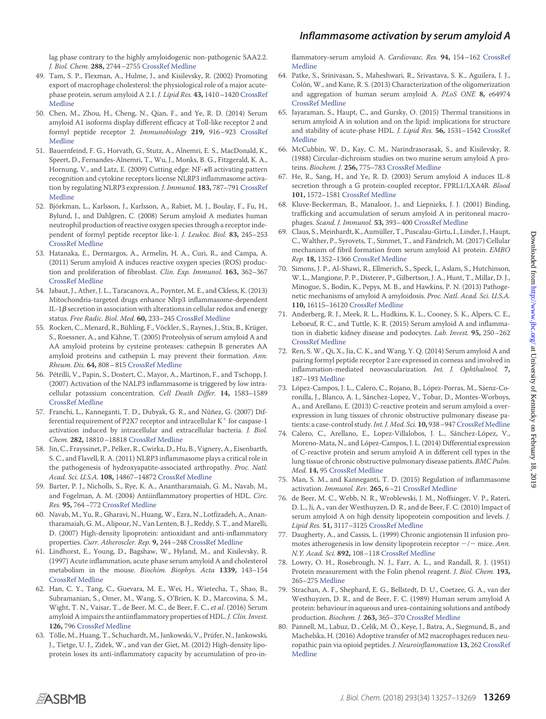# *Inflammasome activation by serum amyloid A*

lag phase contrary to the highly amyloidogenic non-pathogenic SAA2.2. *J. Biol. Chem.* **288,** 2744–2755 [CrossRef](http://dx.doi.org/10.1074/jbc.M112.394155) [Medline](http://www.ncbi.nlm.nih.gov/pubmed/23223242)

- <span id="page-14-0"></span>49. Tam, S. P., Flexman, A., Hulme, J., and Kisilevsky, R. (2002) Promoting export of macrophage cholesterol: the physiological role of a major acutephase protein, serum amyloid A 2.1. *J. Lipid Res.* **43,** 1410–1420 [CrossRef](http://dx.doi.org/10.1194/jlr.M100388-JLR200) [Medline](http://www.ncbi.nlm.nih.gov/pubmed/12235172)
- <span id="page-14-1"></span>50. Chen, M., Zhou, H., Cheng, N., Qian, F., and Ye, R. D. (2014) Serum amyloid A1 isoforms display different efficacy at Toll-like receptor 2 and formyl peptide receptor 2. *Immunobiology* **219,** 916–923 [CrossRef](http://dx.doi.org/10.1016/j.imbio.2014.08.002) [Medline](http://www.ncbi.nlm.nih.gov/pubmed/25154907)
- <span id="page-14-2"></span>51. Bauernfeind, F. G., Horvath, G., Stutz, A., Alnemri, E. S., MacDonald, K., Speert, D., Fernandes-Alnemri, T., Wu, J., Monks, B. G., Fitzgerald, K. A., Hornung, V., and Latz, E. (2009) Cutting edge: NF-KB activating pattern recognition and cytokine receptors license NLRP3 inflammasome activation by regulating NLRP3 expression. *J. Immunol.* **183,** 787–791 [CrossRef](http://dx.doi.org/10.4049/jimmunol.0901363) [Medline](http://www.ncbi.nlm.nih.gov/pubmed/19570822)
- <span id="page-14-3"></span>52. Björkman, L., Karlsson, J., Karlsson, A., Rabiet, M. J., Boulay, F., Fu, H., Bylund, J., and Dahlgren, C. (2008) Serum amyloid A mediates human neutrophil production of reactive oxygen species through a receptor independent of formyl peptide receptor like-1. *J. Leukoc. Biol.* **83,** 245–253 [CrossRef](http://dx.doi.org/10.1189/jlb.0607-408) [Medline](http://www.ncbi.nlm.nih.gov/pubmed/17984291)
- <span id="page-14-4"></span>53. Hatanaka, E., Dermargos, A., Armelin, H. A., Curi, R., and Campa, A. (2011) Serum amyloid A induces reactive oxygen species (ROS) production and proliferation of fibroblast. *Clin. Exp. Immunol.* **163,** 362–367 [CrossRef](http://dx.doi.org/10.1111/j.1365-2249.2010.04300.x) [Medline](http://www.ncbi.nlm.nih.gov/pubmed/21175596)
- <span id="page-14-5"></span>54. Jabaut, J., Ather, J. L., Taracanova, A., Poynter, M. E., and Ckless, K. (2013) Mitochondria-targeted drugs enhance Nlrp3 inflammasome-dependent IL-1 $\beta$  secretion in association with alterations in cellular redox and energy status. *Free Radic. Biol. Med.* **60,** 233–245 [CrossRef](http://dx.doi.org/10.1016/j.freeradbiomed.2013.01.025) [Medline](http://www.ncbi.nlm.nih.gov/pubmed/23376234)
- <span id="page-14-6"></span>55. Rocken, C., Menard, R., Bühling, F., Vöckler, S., Raynes, J., Stix, B., Krüger, S., Roessner, A., and Kähne, T. (2005) Proteolysis of serum amyloid A and AA amyloid proteins by cysteine proteases: cathepsin B generates AA amyloid proteins and cathepsin L may prevent their formation. *Ann. Rheum. Dis.* **64,** 808–815 [CrossRef](http://dx.doi.org/10.1136/ard.2004.030429) [Medline](http://www.ncbi.nlm.nih.gov/pubmed/15897303)
- <span id="page-14-7"></span>56. Pétrilli, V., Papin, S., Dostert, C., Mayor, A., Martinon, F., and Tschopp, J. (2007) Activation of the NALP3 inflammasome is triggered by low intracellular potassium concentration. *Cell Death Differ.* **14,** 1583–1589 [CrossRef](http://dx.doi.org/10.1038/sj.cdd.4402195) [Medline](http://www.ncbi.nlm.nih.gov/pubmed/17599094)
- <span id="page-14-8"></span>57. Franchi, L., Kanneganti, T. D., Dubyak, G. R., and Núñez, G. (2007) Differential requirement of P2X7 receptor and intracellular  $K^+$  for caspase-1 activation induced by intracellular and extracellular bacteria. *J. Biol. Chem.* **282,** 18810–18818 [CrossRef](http://dx.doi.org/10.1074/jbc.M610762200) [Medline](http://www.ncbi.nlm.nih.gov/pubmed/17491021)
- <span id="page-14-9"></span>58. Jin, C., Frayssinet, P., Pelker, R., Cwirka, D., Hu, B., Vignery, A., Eisenbarth, S. C., and Flavell, R. A. (2011) NLRP3 inflammasome plays a critical role in the pathogenesis of hydroxyapatite-associated arthropathy. *Proc. Natl. Acad. Sci. U.S.A.* **108,** 14867–14872 [CrossRef](http://dx.doi.org/10.1073/pnas.1111101108) [Medline](http://www.ncbi.nlm.nih.gov/pubmed/21856950)
- <span id="page-14-10"></span>59. Barter, P. J., Nicholls, S., Rye, K. A., Anantharamaiah, G. M., Navab, M., and Fogelman, A. M. (2004) Antiinflammatory properties of HDL. *Circ. Res.* **95,** 764–772 [CrossRef](http://dx.doi.org/10.1161/01.RES.0000146094.59640.13) [Medline](http://www.ncbi.nlm.nih.gov/pubmed/15486323)
- <span id="page-14-11"></span>60. Navab, M., Yu, R., Gharavi, N., Huang, W., Ezra, N., Lotfizadeh, A., Anantharamaiah, G. M., Alipour, N., Van Lenten, B. J., Reddy, S. T., and Marelli, D. (2007) High-density lipoprotein: antioxidant and anti-inflammatory properties. *Curr. Atheroscler. Rep.* **9,** 244–248 [CrossRef](http://dx.doi.org/10.1007/s11883-007-0026-3) [Medline](http://www.ncbi.nlm.nih.gov/pubmed/18241620)
- <span id="page-14-12"></span>61. Lindhorst, E., Young, D., Bagshaw, W., Hyland, M., and Kisilevsky, R. (1997) Acute inflammation, acute phase serum amyloid A and cholesterol metabolism in the mouse. *Biochim. Biophys. Acta* **1339,** 143–154 [CrossRef](http://dx.doi.org/10.1016/S0167-4838(96)00227-0) [Medline](http://www.ncbi.nlm.nih.gov/pubmed/9165109)
- <span id="page-14-13"></span>62. Han, C. Y., Tang, C., Guevara, M. E., Wei, H., Wietecha, T., Shao, B., Subramanian, S., Omer, M., Wang, S., O'Brien, K. D., Marcovina, S. M., Wight, T. N., Vaisar, T., de Beer, M. C., de Beer, F. C., *et al*. (2016) Serum amyloid A impairs the antiinflammatory properties of HDL. *J. Clin. Invest.* **126,** 796 [CrossRef](http://dx.doi.org/10.1172/JCI86401) [Medline](http://www.ncbi.nlm.nih.gov/pubmed/26829628)
- <span id="page-14-14"></span>63. Tölle, M., Huang, T., Schuchardt, M., Jankowski, V., Prüfer, N., Jankowski, J., Tietge, U. J., Zidek, W., and van der Giet, M. (2012) High-density lipoprotein loses its anti-inflammatory capacity by accumulation of pro-in-

flammatory-serum amyloid A. *Cardiovasc. Res.* **94,** 154–162 [CrossRef](http://dx.doi.org/10.1093/cvr/cvs089) [Medline](http://www.ncbi.nlm.nih.gov/pubmed/22328092)

- <span id="page-14-15"></span>64. Patke, S., Srinivasan, S., Maheshwari, R., Srivastava, S. K., Aguilera, J. J., Colón, W., and Kane, R. S. (2013) Characterization of the oligomerization and aggregation of human serum amyloid A. *PLoS ONE* **8,** e64974 [CrossRef](http://dx.doi.org/10.1371/journal.pone.0064974) [Medline](http://www.ncbi.nlm.nih.gov/pubmed/23750222)
- <span id="page-14-16"></span>65. Jayaraman, S., Haupt, C., and Gursky, O. (2015) Thermal transitions in serum amyloid A in solution and on the lipid: implications for structure and stability of acute-phase HDL. *J. Lipid Res.* **56,** 1531–1542 [CrossRef](http://dx.doi.org/10.1194/jlr.M059162) [Medline](http://www.ncbi.nlm.nih.gov/pubmed/26022803)
- <span id="page-14-17"></span>66. McCubbin, W. D., Kay, C. M., Narindrasorasak, S., and Kisilevsky, R. (1988) Circular-dichroism studies on two murine serum amyloid A proteins. *Biochem. J.* **256,** 775–783 [CrossRef](http://dx.doi.org/10.1042/bj2560775) [Medline](http://www.ncbi.nlm.nih.gov/pubmed/3223951)
- <span id="page-14-18"></span>67. He, R., Sang, H., and Ye, R. D. (2003) Serum amyloid A induces IL-8 secretion through a G protein-coupled receptor, FPRL1/LXA4R. *Blood* **101,** 1572–1581 [CrossRef](http://dx.doi.org/10.1182/blood-2002-05-1431) [Medline](http://www.ncbi.nlm.nih.gov/pubmed/12393391)
- <span id="page-14-19"></span>68. Kluve-Beckerman, B., Manaloor, J., and Liepnieks, J. J. (2001) Binding, trafficking and accumulation of serum amyloid A in peritoneal macrophages. *Scand. J. Immunol.* **53,** 393–400 [CrossRef](http://dx.doi.org/10.1046/j.1365-3083.2001.00879.x) [Medline](http://www.ncbi.nlm.nih.gov/pubmed/11285120)
- <span id="page-14-20"></span>69. Claus, S., Meinhardt, K., Aumüller, T., Puscalau-Girtu, I., Linder, J., Haupt, C., Walther, P., Syrovets, T., Simmet, T., and Fändrich, M. (2017) Cellular mechanism of fibril formation from serum amyloid A1 protein. *EMBO Rep.* **18,** 1352–1366 [CrossRef](http://dx.doi.org/10.15252/embr.201643411) [Medline](http://www.ncbi.nlm.nih.gov/pubmed/28637682)
- <span id="page-14-21"></span>70. Simons, J. P., Al-Shawi, R., Ellmerich, S., Speck, I., Aslam, S., Hutchinson, W. L., Mangione, P. P., Disterer, P., Gilbertson, J. A., Hunt, T., Millar, D. J., Minogue, S., Bodin, K., Pepys, M. B., and Hawkins, P. N. (2013) Pathogenetic mechanisms of amyloid A amyloidosis. *Proc. Natl. Acad. Sci. U.S.A.* **110,** 16115–16120 [CrossRef](http://dx.doi.org/10.1073/pnas.1306621110) [Medline](http://www.ncbi.nlm.nih.gov/pubmed/23959890)
- 71. Anderberg, R. J., Meek, R. L., Hudkins, K. L., Cooney, S. K., Alpers, C. E., Leboeuf, R. C., and Tuttle, K. R. (2015) Serum amyloid A and inflammation in diabetic kidney disease and podocytes. *Lab. Invest.* **95,** 250–262 [CrossRef](http://dx.doi.org/10.1038/labinvest.2014.163) [Medline](http://www.ncbi.nlm.nih.gov/pubmed/25531567)
- 72. Ren, S. W., Qi, X., Jia, C. K., and Wang, Y. Q. (2014) Serum amyloid A and pairing formyl peptide receptor 2 are expressed in corneas and involved in inflammation-mediated neovascularization. *Int. J. Ophthalmol.* **7,** 187–193 [Medline](http://www.ncbi.nlm.nih.gov/pubmed/24790856)
- 73. López-Campos, J. L., Calero, C., Rojano, B., López-Porras, M., Sáenz-Coronilla, J., Blanco, A. I., Sánchez-Lopez, V., Tobar, D., Montes-Worboys, A., and Arellano, E. (2013) C-reactive protein and serum amyloid a overexpression in lung tissues of chronic obstructive pulmonary disease pa-tients: a case-control study. Int. J. Med. Sci. 10, 938-947 [CrossRef](http://dx.doi.org/10.7150/ijms.6152) [Medline](http://www.ncbi.nlm.nih.gov/pubmed/23801879)
- 74. Calero, C., Arellano, E., Lopez-Villalobos, J. L., Sánchez-López, V., Moreno-Mata, N., and López-Campos, J. L. (2014) Differential expression of C-reactive protein and serum amyloid A in different cell types in the lung tissue of chronic obstructive pulmonary disease patients. *BMC Pulm. Med.* **14,** 95 [CrossRef](http://dx.doi.org/10.1186/1471-2466-14-95) [Medline](http://www.ncbi.nlm.nih.gov/pubmed/24884805)
- <span id="page-14-22"></span>75. Man, S. M., and Kanneganti, T. D. (2015) Regulation of inflammasome activation. *Immunol. Rev.* **265,** 6–21 [CrossRef](http://dx.doi.org/10.1111/imr.12296) [Medline](http://www.ncbi.nlm.nih.gov/pubmed/25879280)
- <span id="page-14-23"></span>76. de Beer, M. C., Webb, N. R., Wroblewski, J. M., Noffsinger, V. P., Rateri, D. L., Ji, A., van der Westhuyzen, D. R., and de Beer, F. C. (2010) Impact of serum amyloid A on high density lipoprotein composition and levels. *J. Lipid Res.* **51,** 3117–3125 [CrossRef](http://dx.doi.org/10.1194/jlr.M005413) [Medline](http://www.ncbi.nlm.nih.gov/pubmed/20667817)
- <span id="page-14-24"></span>77. Daugherty, A., and Cassis, L. (1999) Chronic angiotensin II infusion promotes atherogenesis in low density lipoprotein receptor  $-/-$  mice. *Ann. N.Y. Acad. Sci.* **892,** 108–118 [CrossRef](http://dx.doi.org/10.1111/j.1749-6632.1999.tb07789.x) [Medline](http://www.ncbi.nlm.nih.gov/pubmed/10842656)
- <span id="page-14-25"></span>78. Lowry, O. H., Rosebrough, N. J., Farr, A. L., and Randall, R. J. (1951) Protein measurement with the Folin phenol reagent. *J. Biol. Chem.* **193,** 265–275 [Medline](http://www.ncbi.nlm.nih.gov/pubmed/14907713)
- <span id="page-14-26"></span>79. Strachan, A. F., Shephard, E. G., Bellstedt, D. U., Coetzee, G. A., van der Westhuyzen, D. R., and de Beer, F. C. (1989) Human serum amyloid A protein: behaviour in aqueous and urea-containing solutions and antibody production. *Biochem. J.* **263,** 365–370 [CrossRef](http://dx.doi.org/10.1042/bj2630365) [Medline](http://www.ncbi.nlm.nih.gov/pubmed/2597108)
- <span id="page-14-27"></span>80. Pannell, M., Labuz, D., Celik, M. Ö., Keye, J., Batra, A., Siegmund, B., and Machelska, H. (2016) Adoptive transfer of M2 macrophages reduces neuropathic pain via opioid peptides. *J. Neuroinflammation* **13,** 262 [CrossRef](http://dx.doi.org/10.1186/s12974-016-0735-z) [Medline](http://www.ncbi.nlm.nih.gov/pubmed/27717401)

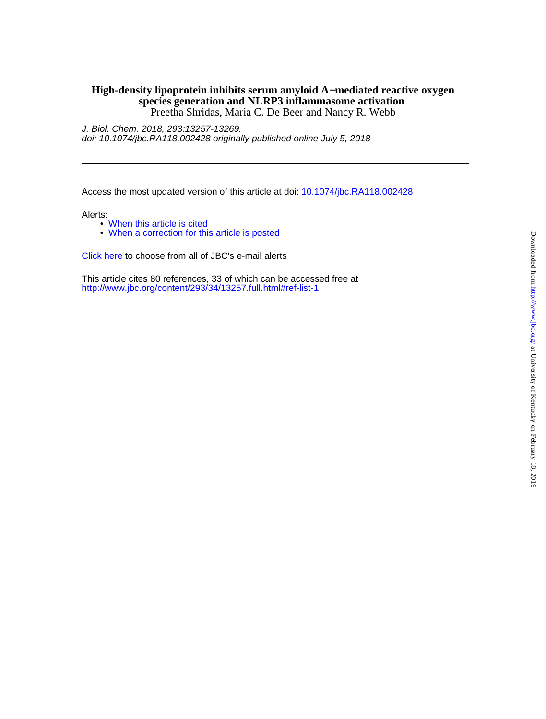### Preetha Shridas, Maria C. De Beer and Nancy R. Webb **species generation and NLRP3 inflammasome activation High-density lipoprotein inhibits serum amyloid A**−**mediated reactive oxygen**

doi: 10.1074/jbc.RA118.002428 originally published online July 5, 2018 J. Biol. Chem. 2018, 293:13257-13269.

Access the most updated version of this article at doi: [10.1074/jbc.RA118.002428](http://www.jbc.org/lookup/doi/10.1074/jbc.RA118.002428)

Alerts:

- [When this article is cited](http://www.jbc.org/cgi/alerts?alertType=citedby&addAlert=cited_by&cited_by_criteria_resid=jbc;293/34/13257&saveAlert=no&return-type=article&return_url=http://www.jbc.org/content/293/34/13257)
- [When a correction for this article is posted](http://www.jbc.org/cgi/alerts?alertType=correction&addAlert=correction&correction_criteria_value=293/34/13257&saveAlert=no&return-type=article&return_url=http://www.jbc.org/content/293/34/13257)

[Click here](http://www.jbc.org/cgi/alerts/etoc) to choose from all of JBC's e-mail alerts

<http://www.jbc.org/content/293/34/13257.full.html#ref-list-1> This article cites 80 references, 33 of which can be accessed free at